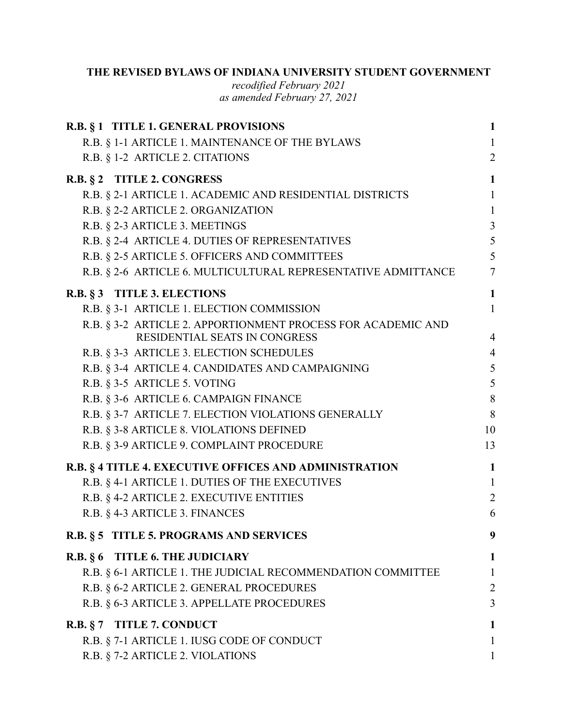### **THE REVISED BYLAWS OF INDIANA UNIVERSITY STUDENT GOVERNMENT**

*recodified February 2021 as amended February 27, 2021* 

| R.B. § 1 TITLE 1. GENERAL PROVISIONS                                                          | $\mathbf{1}$   |
|-----------------------------------------------------------------------------------------------|----------------|
| R.B. § 1-1 ARTICLE 1. MAINTENANCE OF THE BYLAWS                                               | $\mathbf{1}$   |
| R.B. § 1-2 ARTICLE 2. CITATIONS                                                               | $\overline{2}$ |
| R.B. § 2 TITLE 2. CONGRESS                                                                    | 1              |
| R.B. § 2-1 ARTICLE 1. ACADEMIC AND RESIDENTIAL DISTRICTS                                      | $\mathbf{1}$   |
| R.B. § 2-2 ARTICLE 2. ORGANIZATION                                                            | 1              |
| R.B. § 2-3 ARTICLE 3. MEETINGS                                                                | $\overline{3}$ |
| R.B. § 2-4 ARTICLE 4. DUTIES OF REPRESENTATIVES                                               | 5              |
| R.B. § 2-5 ARTICLE 5. OFFICERS AND COMMITTEES                                                 | 5              |
| R.B. § 2-6 ARTICLE 6. MULTICULTURAL REPRESENTATIVE ADMITTANCE                                 | $\overline{7}$ |
| R.B. § 3 TITLE 3. ELECTIONS                                                                   | $\mathbf{1}$   |
| R.B. § 3-1 ARTICLE 1. ELECTION COMMISSION                                                     | $\mathbf{1}$   |
| R.B. § 3-2 ARTICLE 2. APPORTIONMENT PROCESS FOR ACADEMIC AND<br>RESIDENTIAL SEATS IN CONGRESS | $\overline{4}$ |
| R.B. § 3-3 ARTICLE 3. ELECTION SCHEDULES                                                      | $\overline{4}$ |
| R.B. § 3-4 ARTICLE 4. CANDIDATES AND CAMPAIGNING                                              | 5              |
| R.B. § 3-5 ARTICLE 5. VOTING                                                                  | 5              |
| R.B. § 3-6 ARTICLE 6. CAMPAIGN FINANCE                                                        | 8              |
| R.B. § 3-7 ARTICLE 7. ELECTION VIOLATIONS GENERALLY                                           | 8              |
| R.B. § 3-8 ARTICLE 8. VIOLATIONS DEFINED                                                      | 10             |
| R.B. § 3-9 ARTICLE 9. COMPLAINT PROCEDURE                                                     | 13             |
| R.B. § 4 TITLE 4. EXECUTIVE OFFICES AND ADMINISTRATION                                        | $\mathbf{1}$   |
| R.B. § 4-1 ARTICLE 1. DUTIES OF THE EXECUTIVES                                                | $\mathbf{1}$   |
| R.B. § 4-2 ARTICLE 2. EXECUTIVE ENTITIES                                                      | $\overline{2}$ |
| R.B. § 4-3 ARTICLE 3. FINANCES                                                                | 6              |
| R.B. § 5 TITLE 5. PROGRAMS AND SERVICES                                                       | 9              |
| R.B. § 6 TITLE 6. THE JUDICIARY                                                               | 1              |
| R.B. § 6-1 ARTICLE 1. THE JUDICIAL RECOMMENDATION COMMITTEE                                   | 1              |
| R.B. § 6-2 ARTICLE 2. GENERAL PROCEDURES                                                      | $\overline{2}$ |
| R.B. § 6-3 ARTICLE 3. APPELLATE PROCEDURES                                                    | 3              |
| R.B. § 7 TITLE 7. CONDUCT                                                                     | 1              |
| R.B. § 7-1 ARTICLE 1. IUSG CODE OF CONDUCT                                                    | 1              |
| R.B. § 7-2 ARTICLE 2. VIOLATIONS                                                              | 1              |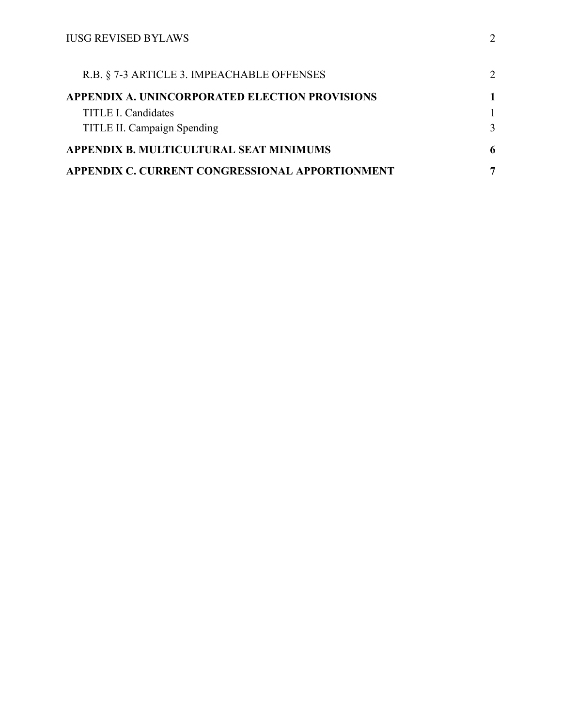| R.B. § 7-3 ARTICLE 3. IMPEACHABLE OFFENSES      | $\mathcal{D}_{\mathcal{L}}$ |
|-------------------------------------------------|-----------------------------|
| APPENDIX A. UNINCORPORATED ELECTION PROVISIONS  |                             |
| TITLE I. Candidates                             |                             |
| TITLE II. Campaign Spending                     |                             |
| APPENDIX B. MULTICULTURAL SEAT MINIMUMS         |                             |
| APPENDIX C. CURRENT CONGRESSIONAL APPORTIONMENT | ៗ                           |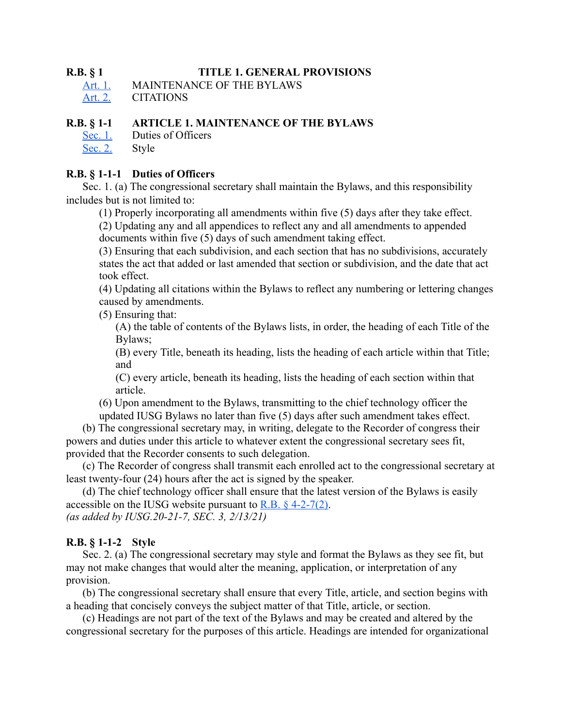### <span id="page-2-0"></span>**R.B. § 1 TITLE 1. GENERAL PROVISIONS**

[Art. 1.](#page-2-1) MAINTENANCE OF THE BYLAWS

[Art. 2. CITATIONS](#page-3-0)

### <span id="page-2-1"></span>**R.B. § 1-1 ARTICLE 1. MAINTENANCE OF THE BYLAWS**

[Sec. 1.](#page-2-2) [Duties of Officers](#page-2-2)

[Sec. 2.](#page-2-3) [Style](#page-2-3) 

### <span id="page-2-2"></span>**R.B. § 1-1-1 Duties of Officers**

Sec. 1. (a) The congressional secretary shall maintain the Bylaws, and this responsibility includes but is not limited to:

(1) Properly incorporating all amendments within five (5) days after they take effect.

(2) Updating any and all appendices to reflect any and all amendments to appended documents within five (5) days of such amendment taking effect.

(3) Ensuring that each subdivision, and each section that has no subdivisions, accurately states the act that added or last amended that section or subdivision, and the date that act took effect.

(4) Updating all citations within the Bylaws to reflect any numbering or lettering changes caused by amendments.

(5) Ensuring that:

(A) the table of contents of the Bylaws lists, in order, the heading of each Title of the Bylaws;

(B) every Title, beneath its heading, lists the heading of each article within that Title; and

(C) every article, beneath its heading, lists the heading of each section within that article.

(6) Upon amendment to the Bylaws, transmitting to the chief technology officer the updated IUSG Bylaws no later than five (5) days after such amendment takes effect.

(b) The congressional secretary may, in writing, delegate to the Recorder of congress their powers and duties under this article to whatever extent the congressional secretary sees fit, provided that the Recorder consents to such delegation.

(c) The Recorder of congress shall transmit each enrolled act to the congressional secretary at least twenty-four (24) hours after the act is signed by the speaker.

(d) The chief technology officer shall ensure that the latest version of the Bylaws is easily accessible on the IUSG website pursuant to  $R.B. § 4-2-7(2)$ . *(as added by IUSG.20-21-7, SEC. 3, 2/13/21)* 

### <span id="page-2-3"></span>**R.B. § 1-1-2 Style**

Sec. 2. (a) The congressional secretary may style and format the Bylaws as they see fit, but may not make changes that would alter the meaning, application, or interpretation of any provision.

(b) The congressional secretary shall ensure that every Title, article, and section begins with a heading that concisely conveys the subject matter of that Title, article, or section.

(c) Headings are not part of the text of the Bylaws and may be created and altered by the congressional secretary for the purposes of this article. Headings are intended for organizational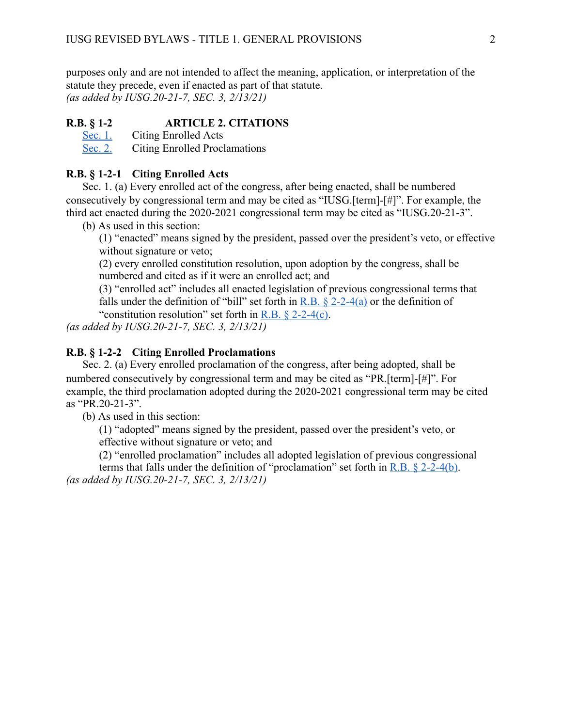purposes only and are not intended to affect the meaning, application, or interpretation of the statute they precede, even if enacted as part of that statute. *(as added by IUSG.20-21-7, SEC. 3, 2/13/21)* 

### <span id="page-3-0"></span>**R.B. § 1-2 ARTICLE 2. CITATIONS**

[Sec. 1.](#page-3-1) [Citing Enrolled Acts](#page-3-1)

[Sec. 2.](#page-3-2) [Citing Enrolled Proclamations](#page-3-2) 

### <span id="page-3-1"></span>**R.B. § 1-2-1 Citing Enrolled Acts**

Sec. 1. (a) Every enrolled act of the congress, after being enacted, shall be numbered consecutively by congressional term and may be cited as "IUSG.[term]-[#]". For example, the third act enacted during the 2020-2021 congressional term may be cited as "IUSG.20-21-3".

(b) As used in this section:

(1) "enacted" means signed by the president, passed over the president's veto, or effective without signature or veto;

(2) every enrolled constitution resolution, upon adoption by the congress, shall be numbered and cited as if it were an enrolled act; and

(3) "enrolled act" includes all enacted legislation of previous congressional terms that falls under the definition of "bill" set forth in R.B.  $\S$  2-2-4(a) or the definition of

"constitution resolution" set forth in R.B.  $\S$  2-2-4(c).

*(as added by IUSG.20-21-7, SEC. 3, 2/13/21)* 

### <span id="page-3-2"></span>**R.B. § 1-2-2 Citing Enrolled Proclamations**

Sec. 2. (a) Every enrolled proclamation of the congress, after being adopted, shall be numbered consecutively by congressional term and may be cited as "PR.[term]-[#]". For example, the third proclamation adopted during the 2020-2021 congressional term may be cited as "PR.20-21-3".

(b) As used in this section:

(1) "adopted" means signed by the president, passed over the president's veto, or effective without signature or veto; and

(2) "enrolled proclamation" includes all adopted legislation of previous congressional

terms that falls under the definition of "proclamation" set forth in R.B.  $\S$  2-2-4(b). *(as added by IUSG.20-21-7, SEC. 3, 2/13/21)*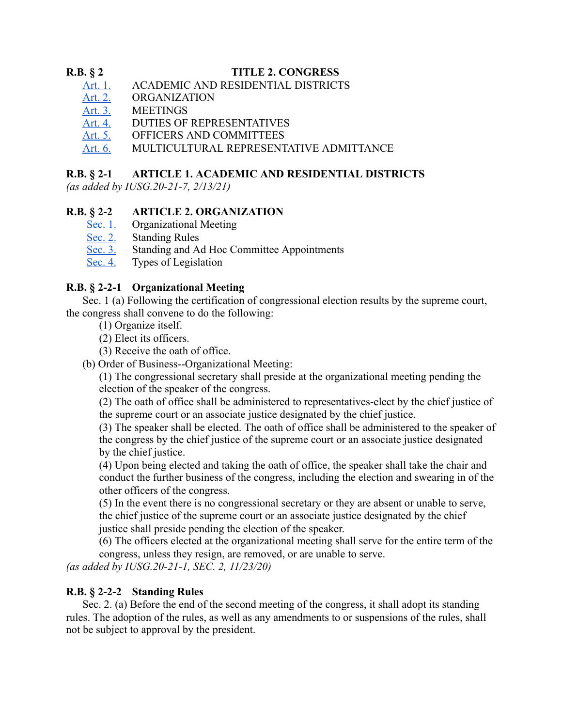### <span id="page-4-0"></span>**R.B. § 2 TITLE 2. CONGRESS**

- Art. 1. ACADEMIC AND RESIDENTIAL DISTRICTS
- [Art. 2. ORGANIZATION](#page-4-2)
- 
- Art. 3. MEETINGS<br>Art. 4. DUTIES OF DUTIES OF REPRESENTATIVES
- Art. 5. OFFICERS AND COMMITTEES
- [Art. 6. MULTICULTURAL REPRESENTATIVE ADMITTANCE](#page-10-0)

### <span id="page-4-1"></span>**R.B. § 2-1 ARTICLE 1. ACADEMIC AND RESIDENTIAL DISTRICTS**

*(as added by IUSG.20-21-7, 2/13/21)* 

### <span id="page-4-2"></span>**R.B. § 2-2 ARTICLE 2. ORGANIZATION**

- [Sec. 1. Organizational Meeting](#page-4-3)<br>Sec. 2. Standing Rules
- **Standing Rules**
- [Sec. 3. Standing and Ad Hoc Committee Appointments](#page-5-1)
- [Sec. 4. Types of Legislation](#page-5-0)

### <span id="page-4-3"></span>**R.B. § 2-2-1 Organizational Meeting**

Sec. 1 (a) Following the certification of congressional election results by the supreme court, the congress shall convene to do the following:

- (1) Organize itself.
- (2) Elect its officers.
- (3) Receive the oath of office.
- (b) Order of Business--Organizational Meeting:

(1) The congressional secretary shall preside at the organizational meeting pending the election of the speaker of the congress.

(2) The oath of office shall be administered to representatives-elect by the chief justice of the supreme court or an associate justice designated by the chief justice.

(3) The speaker shall be elected. The oath of office shall be administered to the speaker of the congress by the chief justice of the supreme court or an associate justice designated by the chief justice.

(4) Upon being elected and taking the oath of office, the speaker shall take the chair and conduct the further business of the congress, including the election and swearing in of the other officers of the congress.

(5) In the event there is no congressional secretary or they are absent or unable to serve, the chief justice of the supreme court or an associate justice designated by the chief justice shall preside pending the election of the speaker.

(6) The officers elected at the organizational meeting shall serve for the entire term of the congress, unless they resign, are removed, or are unable to serve.

*(as added by IUSG.20-21-1, SEC. 2, 11/23/20)* 

### <span id="page-4-4"></span>**R.B. § 2-2-2 Standing Rules**

Sec. 2. (a) Before the end of the second meeting of the congress, it shall adopt its standing rules. The adoption of the rules, as well as any amendments to or suspensions of the rules, shall not be subject to approval by the president.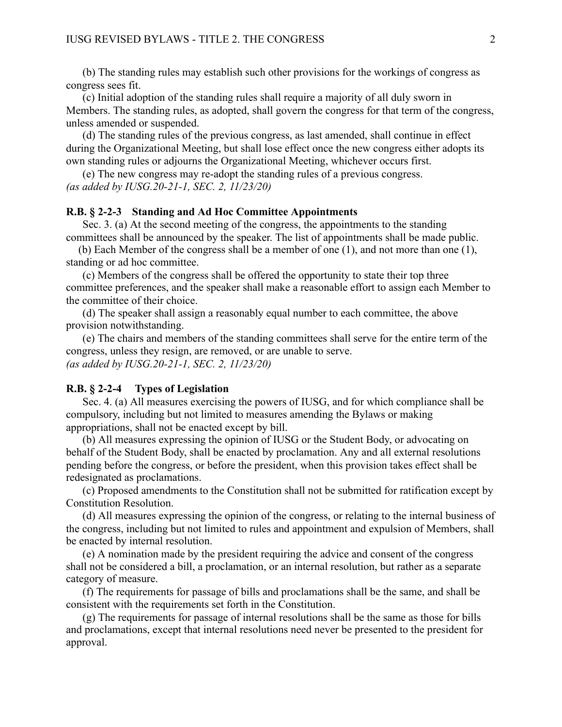(b) The standing rules may establish such other provisions for the workings of congress as congress sees fit.

(c) Initial adoption of the standing rules shall require a majority of all duly sworn in Members. The standing rules, as adopted, shall govern the congress for that term of the congress, unless amended or suspended.

(d) The standing rules of the previous congress, as last amended, shall continue in effect during the Organizational Meeting, but shall lose effect once the new congress either adopts its own standing rules or adjourns the Organizational Meeting, whichever occurs first.

(e) The new congress may re-adopt the standing rules of a previous congress. *(as added by IUSG.20-21-1, SEC. 2, 11/23/20)* 

### <span id="page-5-1"></span>**R.B. § 2-2-3 Standing and Ad Hoc Committee Appointments**

Sec. 3. (a) At the second meeting of the congress, the appointments to the standing committees shall be announced by the speaker. The list of appointments shall be made public.

(b) Each Member of the congress shall be a member of one (1), and not more than one (1), standing or ad hoc committee.

(c) Members of the congress shall be offered the opportunity to state their top three committee preferences, and the speaker shall make a reasonable effort to assign each Member to the committee of their choice.

(d) The speaker shall assign a reasonably equal number to each committee, the above provision notwithstanding.

(e) The chairs and members of the standing committees shall serve for the entire term of the congress, unless they resign, are removed, or are unable to serve. *(as added by IUSG.20-21-1, SEC. 2, 11/23/20)* 

#### <span id="page-5-0"></span>**R.B. § 2-2-4 Types of Legislation**

Sec. 4. (a) All measures exercising the powers of IUSG, and for which compliance shall be compulsory, including but not limited to measures amending the Bylaws or making appropriations, shall not be enacted except by bill.

(b) All measures expressing the opinion of IUSG or the Student Body, or advocating on behalf of the Student Body, shall be enacted by proclamation. Any and all external resolutions pending before the congress, or before the president, when this provision takes effect shall be redesignated as proclamations.

(c) Proposed amendments to the Constitution shall not be submitted for ratification except by Constitution Resolution.

(d) All measures expressing the opinion of the congress, or relating to the internal business of the congress, including but not limited to rules and appointment and expulsion of Members, shall be enacted by internal resolution.

(e) A nomination made by the president requiring the advice and consent of the congress shall not be considered a bill, a proclamation, or an internal resolution, but rather as a separate category of measure.

(f) The requirements for passage of bills and proclamations shall be the same, and shall be consistent with the requirements set forth in the Constitution.

(g) The requirements for passage of internal resolutions shall be the same as those for bills and proclamations, except that internal resolutions need never be presented to the president for approval.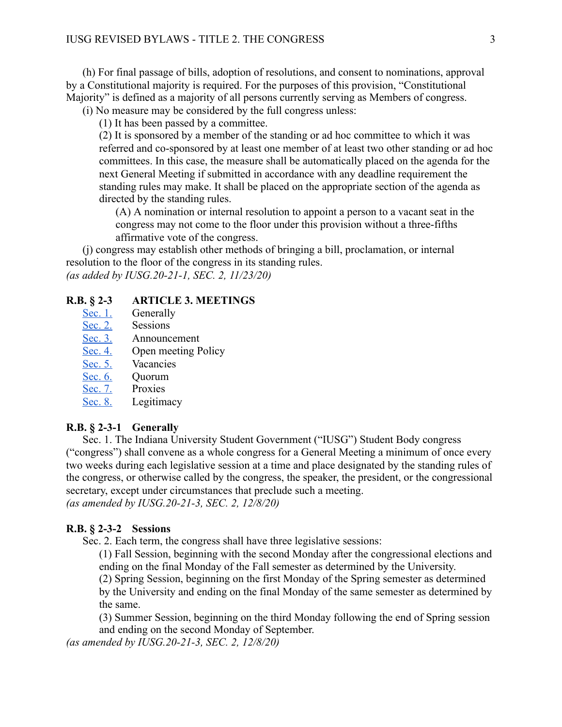(h) For final passage of bills, adoption of resolutions, and consent to nominations, approval by a Constitutional majority is required. For the purposes of this provision, "Constitutional Majority" is defined as a majority of all persons currently serving as Members of congress.

(i) No measure may be considered by the full congress unless:

(1) It has been passed by a committee.

(2) It is sponsored by a member of the standing or ad hoc committee to which it was referred and co-sponsored by at least one member of at least two other standing or ad hoc committees. In this case, the measure shall be automatically placed on the agenda for the next General Meeting if submitted in accordance with any deadline requirement the standing rules may make. It shall be placed on the appropriate section of the agenda as directed by the standing rules.

(A) A nomination or internal resolution to appoint a person to a vacant seat in the congress may not come to the floor under this provision without a three-fifths affirmative vote of the congress.

(j) congress may establish other methods of bringing a bill, proclamation, or internal resolution to the floor of the congress in its standing rules. *(as added by IUSG.20-21-1, SEC. 2, 11/23/20)* 

#### <span id="page-6-0"></span>**R.B. § 2-3 ARTICLE 3. MEETINGS**

- [Sec. 1.](#page-6-1) [Generally](#page-6-1)
- [Sec. 2.](#page-6-2) [Sessions](#page-6-2)
- [Sec. 3.](#page-7-0) [Announcement](#page-7-0)
- [Sec. 4.](#page-7-1) [Open meeting Policy](#page-7-1)
- [Sec. 5.](#page-7-2) [Vacancies](#page-7-2)
- [Sec. 6.](#page-7-3) [Quorum](#page-7-3)
- [Sec. 7.](#page-7-4) Proxies
- [Sec. 8.](#page-8-2) [Legitimacy](#page-8-2)

#### <span id="page-6-1"></span>**R.B. § 2-3-1 Generally**

Sec. 1. The Indiana University Student Government ("IUSG") Student Body congress ("congress") shall convene as a whole congress for a General Meeting a minimum of once every two weeks during each legislative session at a time and place designated by the standing rules of the congress, or otherwise called by the congress, the speaker, the president, or the congressional secretary, except under circumstances that preclude such a meeting. *(as amended by IUSG.20-21-3, SEC. 2, 12/8/20)* 

#### <span id="page-6-2"></span>**R.B. § 2-3-2 Sessions**

Sec. 2. Each term, the congress shall have three legislative sessions:

(1) Fall Session, beginning with the second Monday after the congressional elections and ending on the final Monday of the Fall semester as determined by the University.

(2) Spring Session, beginning on the first Monday of the Spring semester as determined by the University and ending on the final Monday of the same semester as determined by the same.

(3) Summer Session, beginning on the third Monday following the end of Spring session and ending on the second Monday of September.

*(as amended by IUSG.20-21-3, SEC. 2, 12/8/20)*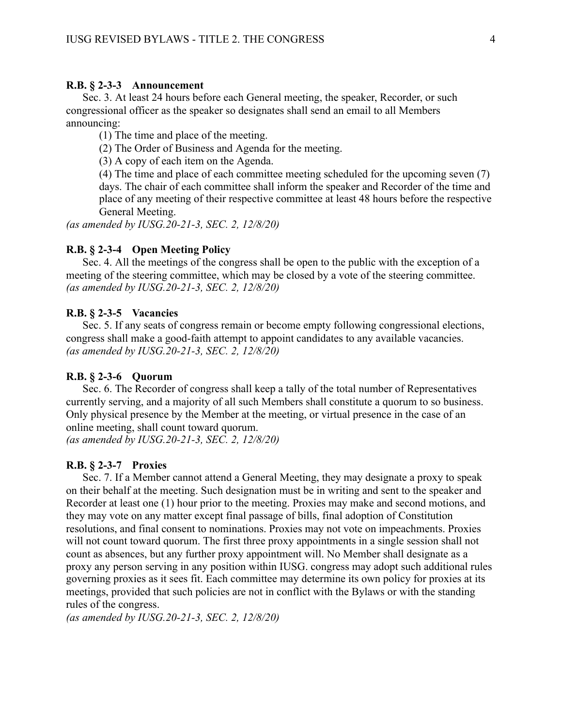#### <span id="page-7-0"></span>**R.B. § 2-3-3 Announcement**

Sec. 3. At least 24 hours before each General meeting, the speaker, Recorder, or such congressional officer as the speaker so designates shall send an email to all Members announcing:

(1) The time and place of the meeting.

(2) The Order of Business and Agenda for the meeting.

(3) A copy of each item on the Agenda.

(4) The time and place of each committee meeting scheduled for the upcoming seven (7) days. The chair of each committee shall inform the speaker and Recorder of the time and place of any meeting of their respective committee at least 48 hours before the respective General Meeting.

*(as amended by IUSG.20-21-3, SEC. 2, 12/8/20)* 

#### <span id="page-7-1"></span>**R.B. § 2-3-4 Open Meeting Policy**

Sec. 4. All the meetings of the congress shall be open to the public with the exception of a meeting of the steering committee, which may be closed by a vote of the steering committee. *(as amended by IUSG.20-21-3, SEC. 2, 12/8/20)* 

#### <span id="page-7-2"></span>**R.B. § 2-3-5 Vacancies**

Sec. 5. If any seats of congress remain or become empty following congressional elections, congress shall make a good-faith attempt to appoint candidates to any available vacancies. *(as amended by IUSG.20-21-3, SEC. 2, 12/8/20)* 

#### <span id="page-7-3"></span>**R.B. § 2-3-6 Quorum**

Sec. 6. The Recorder of congress shall keep a tally of the total number of Representatives currently serving, and a majority of all such Members shall constitute a quorum to so business. Only physical presence by the Member at the meeting, or virtual presence in the case of an online meeting, shall count toward quorum.

*(as amended by IUSG.20-21-3, SEC. 2, 12/8/20)* 

#### <span id="page-7-4"></span>**R.B. § 2-3-7 Proxies**

Sec. 7. If a Member cannot attend a General Meeting, they may designate a proxy to speak on their behalf at the meeting. Such designation must be in writing and sent to the speaker and Recorder at least one (1) hour prior to the meeting. Proxies may make and second motions, and they may vote on any matter except final passage of bills, final adoption of Constitution resolutions, and final consent to nominations. Proxies may not vote on impeachments. Proxies will not count toward quorum. The first three proxy appointments in a single session shall not count as absences, but any further proxy appointment will. No Member shall designate as a proxy any person serving in any position within IUSG. congress may adopt such additional rules governing proxies as it sees fit. Each committee may determine its own policy for proxies at its meetings, provided that such policies are not in conflict with the Bylaws or with the standing rules of the congress.

*(as amended by IUSG.20-21-3, SEC. 2, 12/8/20)*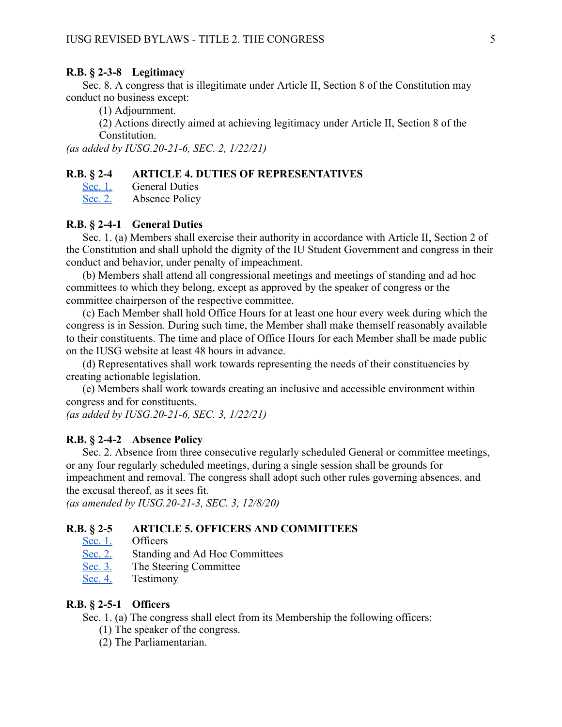### <span id="page-8-2"></span>**R.B. § 2-3-8 Legitimacy**

Sec. 8. A congress that is illegitimate under Article II, Section 8 of the Constitution may conduct no business except:

(1) Adjournment.

(2) Actions directly aimed at achieving legitimacy under Article II, Section 8 of the Constitution.

*(as added by IUSG.20-21-6, SEC. 2, 1/22/21)* 

### <span id="page-8-0"></span>**R.B. § 2-4 ARTICLE 4. DUTIES OF REPRESENTATIVES**

[Sec. 1.](#page-8-3) [General Duties](#page-8-3)<br>Sec. 2. Absence Policy

Absence Policy

#### <span id="page-8-3"></span>**R.B. § 2-4-1 General Duties**

Sec. 1. (a) Members shall exercise their authority in accordance with Article II, Section 2 of the Constitution and shall uphold the dignity of the IU Student Government and congress in their conduct and behavior, under penalty of impeachment.

(b) Members shall attend all congressional meetings and meetings of standing and ad hoc committees to which they belong, except as approved by the speaker of congress or the committee chairperson of the respective committee.

(c) Each Member shall hold Office Hours for at least one hour every week during which the congress is in Session. During such time, the Member shall make themself reasonably available to their constituents. The time and place of Office Hours for each Member shall be made public on the IUSG website at least 48 hours in advance.

(d) Representatives shall work towards representing the needs of their constituencies by creating actionable legislation.

(e) Members shall work towards creating an inclusive and accessible environment within congress and for constituents.

*(as added by IUSG.20-21-6, SEC. 3, 1/22/21)* 

### <span id="page-8-4"></span>**R.B. § 2-4-2 Absence Policy**

Sec. 2. Absence from three consecutive regularly scheduled General or committee meetings, or any four regularly scheduled meetings, during a single session shall be grounds for impeachment and removal. The congress shall adopt such other rules governing absences, and the excusal thereof, as it sees fit.

*(as amended by IUSG.20-21-3, SEC. 3, 12/8/20)* 

### <span id="page-8-1"></span>**R.B. § 2-5 ARTICLE 5. OFFICERS AND COMMITTEES**

- [Sec. 1.](#page-8-5) [Officers](#page-8-5)
- [Sec. 2.](#page-9-0) Standing and Ad Hoc Committees
- [Sec. 3.](#page-9-1) [The Steering Committee](#page-9-1)
- [Sec. 4.](#page-9-2) [Testimony](#page-9-2)

### <span id="page-8-5"></span>**R.B. § 2-5-1 Officers**

Sec. 1. (a) The congress shall elect from its Membership the following officers:

- (1) The speaker of the congress.
- (2) The Parliamentarian.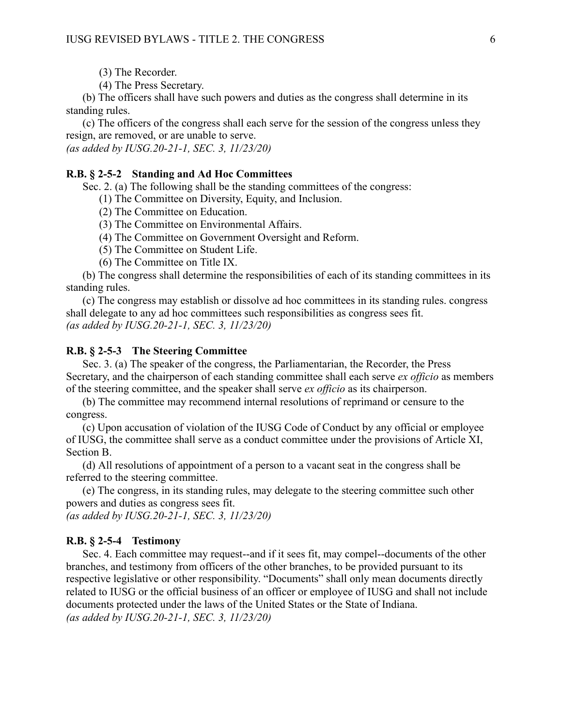(3) The Recorder.

(4) The Press Secretary.

(b) The officers shall have such powers and duties as the congress shall determine in its standing rules.

(c) The officers of the congress shall each serve for the session of the congress unless they resign, are removed, or are unable to serve.

*(as added by IUSG.20-21-1, SEC. 3, 11/23/20)* 

#### <span id="page-9-0"></span>**R.B. § 2-5-2 Standing and Ad Hoc Committees**

Sec. 2. (a) The following shall be the standing committees of the congress:

(1) The Committee on Diversity, Equity, and Inclusion.

(2) The Committee on Education.

(3) The Committee on Environmental Affairs.

(4) The Committee on Government Oversight and Reform.

(5) The Committee on Student Life.

(6) The Committee on Title IX.

(b) The congress shall determine the responsibilities of each of its standing committees in its standing rules.

(c) The congress may establish or dissolve ad hoc committees in its standing rules. congress shall delegate to any ad hoc committees such responsibilities as congress sees fit. *(as added by IUSG.20-21-1, SEC. 3, 11/23/20)* 

#### <span id="page-9-1"></span>**R.B. § 2-5-3 The Steering Committee**

Sec. 3. (a) The speaker of the congress, the Parliamentarian, the Recorder, the Press Secretary, and the chairperson of each standing committee shall each serve *ex officio* as members of the steering committee, and the speaker shall serve *ex officio* as its chairperson.

(b) The committee may recommend internal resolutions of reprimand or censure to the congress.

(c) Upon accusation of violation of the IUSG Code of Conduct by any official or employee of IUSG, the committee shall serve as a conduct committee under the provisions of Article XI, Section B.

(d) All resolutions of appointment of a person to a vacant seat in the congress shall be referred to the steering committee.

(e) The congress, in its standing rules, may delegate to the steering committee such other powers and duties as congress sees fit.

*(as added by IUSG.20-21-1, SEC. 3, 11/23/20)* 

#### <span id="page-9-2"></span>**R.B. § 2-5-4 Testimony**

Sec. 4. Each committee may request--and if it sees fit, may compel--documents of the other branches, and testimony from officers of the other branches, to be provided pursuant to its respective legislative or other responsibility. "Documents" shall only mean documents directly related to IUSG or the official business of an officer or employee of IUSG and shall not include documents protected under the laws of the United States or the State of Indiana. *(as added by IUSG.20-21-1, SEC. 3, 11/23/20)*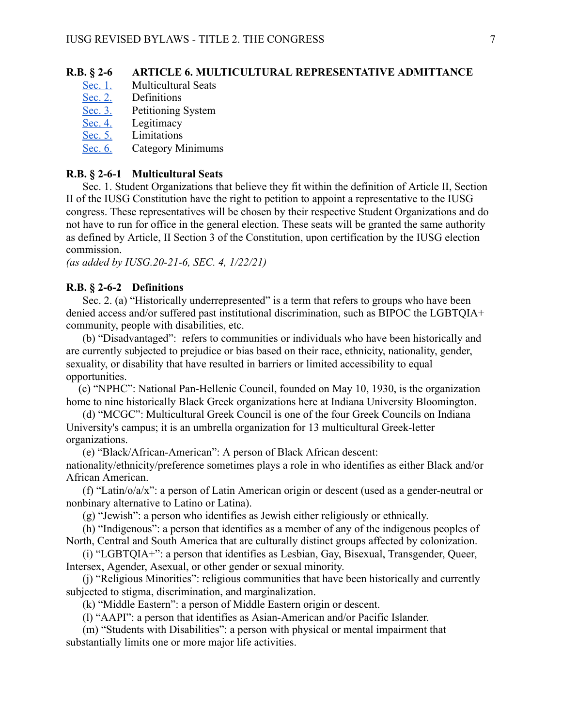### <span id="page-10-0"></span>**R.B. § 2-6 ARTICLE 6. MULTICULTURAL REPRESENTATIVE ADMITTANCE**

- [Sec. 1.](#page-10-1) [Multicultural Seats](#page-10-1)
- [Sec. 2.](#page-10-2) [Definitions](#page-10-2)
- [Sec. 3.](#page-11-0) Petitioning System<br>Sec. 4. Legitimacy
- Legitimacy
- [Sec. 5.](#page-11-2) Limitations
- [Sec. 6.](#page-11-3) [Category Minimums](#page-11-3)

### <span id="page-10-1"></span>**R.B. § 2-6-1 Multicultural Seats**

Sec. 1. Student Organizations that believe they fit within the definition of Article II, Section II of the IUSG Constitution have the right to petition to appoint a representative to the IUSG congress. These representatives will be chosen by their respective Student Organizations and do not have to run for office in the general election. These seats will be granted the same authority as defined by Article, II Section 3 of the Constitution, upon certification by the IUSG election commission.

*(as added by IUSG.20-21-6, SEC. 4, 1/22/21)* 

### <span id="page-10-2"></span>**R.B. § 2-6-2 Definitions**

Sec. 2. (a) "Historically underrepresented" is a term that refers to groups who have been denied access and/or suffered past institutional discrimination, such as BIPOC the LGBTQIA+ community, people with disabilities, etc.

(b) "Disadvantaged": refers to communities or individuals who have been historically and are currently subjected to prejudice or bias based on their race, ethnicity, nationality, gender, sexuality, or disability that have resulted in barriers or limited accessibility to equal opportunities.

(c) "NPHC": National Pan-Hellenic Council, founded on May 10, 1930, is the organization home to nine historically Black Greek organizations here at Indiana University Bloomington.

(d) "MCGC": Multicultural Greek Council is one of the four Greek Councils on Indiana University's campus; it is an umbrella organization for 13 multicultural Greek-letter organizations.

(e) "Black/African-American": A person of Black African descent:

nationality/ethnicity/preference sometimes plays a role in who identifies as either Black and/or African American.

(f) "Latin/o/a/x": a person of Latin American origin or descent (used as a gender-neutral or nonbinary alternative to Latino or Latina).

(g) "Jewish": a person who identifies as Jewish either religiously or ethnically.

(h) "Indigenous": a person that identifies as a member of any of the indigenous peoples of North, Central and South America that are culturally distinct groups affected by colonization.

(i) "LGBTQIA+": a person that identifies as Lesbian, Gay, Bisexual, Transgender, Queer, Intersex, Agender, Asexual, or other gender or sexual minority.

(j) "Religious Minorities": religious communities that have been historically and currently subjected to stigma, discrimination, and marginalization.

(k) "Middle Eastern": a person of Middle Eastern origin or descent.

(l) "AAPI": a person that identifies as Asian-American and/or Pacific Islander.

(m) "Students with Disabilities": a person with physical or mental impairment that substantially limits one or more major life activities.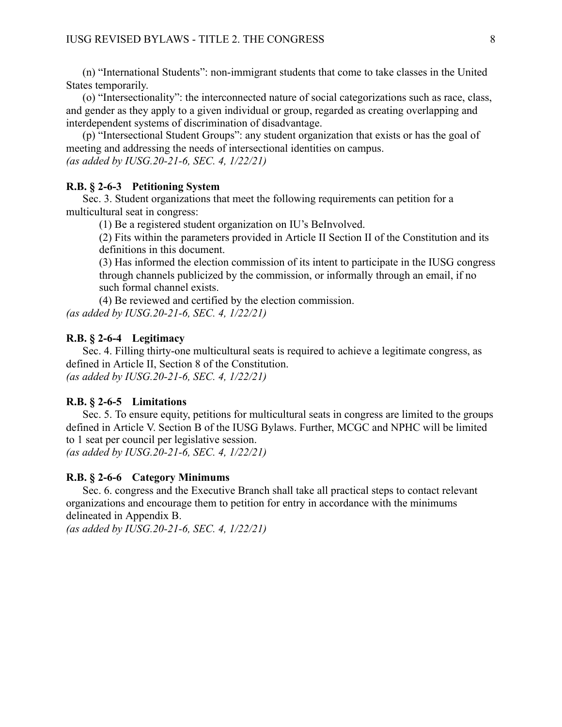(n) "International Students": non-immigrant students that come to take classes in the United States temporarily.

(o) "Intersectionality": the interconnected nature of social categorizations such as race, class, and gender as they apply to a given individual or group, regarded as creating overlapping and interdependent systems of discrimination of disadvantage.

(p) "Intersectional Student Groups": any student organization that exists or has the goal of meeting and addressing the needs of intersectional identities on campus. *(as added by IUSG.20-21-6, SEC. 4, 1/22/21)* 

#### <span id="page-11-0"></span>**R.B. § 2-6-3 Petitioning System**

Sec. 3. Student organizations that meet the following requirements can petition for a multicultural seat in congress:

(1) Be a registered student organization on IU's BeInvolved.

(2) Fits within the parameters provided in Article II Section II of the Constitution and its definitions in this document.

(3) Has informed the election commission of its intent to participate in the IUSG congress through channels publicized by the commission, or informally through an email, if no such formal channel exists.

(4) Be reviewed and certified by the election commission. *(as added by IUSG.20-21-6, SEC. 4, 1/22/21)* 

### <span id="page-11-1"></span>**R.B. § 2-6-4 Legitimacy**

Sec. 4. Filling thirty-one multicultural seats is required to achieve a legitimate congress, as defined in Article II, Section 8 of the Constitution. *(as added by IUSG.20-21-6, SEC. 4, 1/22/21)* 

#### <span id="page-11-2"></span>**R.B. § 2-6-5 Limitations**

Sec. 5. To ensure equity, petitions for multicultural seats in congress are limited to the groups defined in Article V. Section B of the IUSG Bylaws. Further, MCGC and NPHC will be limited to 1 seat per council per legislative session.

*(as added by IUSG.20-21-6, SEC. 4, 1/22/21)* 

#### <span id="page-11-3"></span>**R.B. § 2-6-6 Category Minimums**

Sec. 6. congress and the Executive Branch shall take all practical steps to contact relevant organizations and encourage them to petition for entry in accordance with the minimums delineated in Appendix B.

*(as added by IUSG.20-21-6, SEC. 4, 1/22/21)*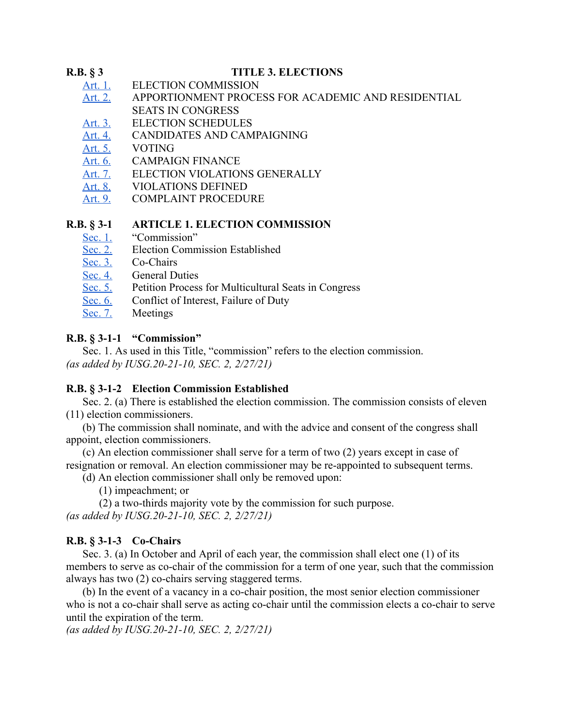### <span id="page-12-0"></span>**R.B. § 3 TITLE 3. ELECTIONS**

- [Art. 1. ELECTION COMMISSION](#page-12-1)
- [Art. 2. APPORTIONMENT PROCESS FOR ACADEMIC AND RESIDENTIAL](#page-15-0)  [SEATS IN CONGRESS](#page-15-0)
- [Art. 3. ELECTION SCHEDULES](#page-15-1)
- [Art. 4. CANDIDATES AND CAMPAIGNING](#page-16-0)
- [Art. 5. VOTING](#page-16-1)
- Art. 6. CAMPAIGN FINANCE
- [Art. 7. ELECTION VIOLATIONS](#page-19-1) GENERALLY
- [Art. 8.](#page-21-0) VIOLATIONS DEFINED
- [Art. 9.](#page-24-0) COMPLAINT PROCEDURE

### <span id="page-12-1"></span>**R.B. § 3-1 ARTICLE 1. ELECTION COMMISSION**

- 
- [Sec. 1.](#page-12-2) "Commission"<br>Sec. 2. Election Comm [Sec. 2.](#page-12-3) Election Commission Established<br>Sec. 3. Co-Chairs
- Co-Chairs
- [Sec. 4.](#page-13-0) General Duties
- [Sec. 5.](#page-13-1) Petition Process for Multicultural Seats in Congress
- [Sec. 6.](#page-14-0) Conflict of Interest, Failure of Duty
- [Sec. 7.](#page-14-1) Meetings

### <span id="page-12-2"></span>**R.B. § 3-1-1 "Commission"**

Sec. 1. As used in this Title, "commission" refers to the election commission. *(as added by IUSG.20-21-10, SEC. 2, 2/27/21)* 

### <span id="page-12-3"></span>**R.B. § 3-1-2 Election Commission Established**

Sec. 2. (a) There is established the election commission. The commission consists of eleven (11) election commissioners.

(b) The commission shall nominate, and with the advice and consent of the congress shall appoint, election commissioners.

(c) An election commissioner shall serve for a term of two (2) years except in case of resignation or removal. An election commissioner may be re-appointed to subsequent terms.

(d) An election commissioner shall only be removed upon:

(1) impeachment; or

(2) a two-thirds majority vote by the commission for such purpose. *(as added by IUSG.20-21-10, SEC. 2, 2/27/21)* 

### <span id="page-12-4"></span>**R.B. § 3-1-3 Co-Chairs**

Sec. 3. (a) In October and April of each year, the commission shall elect one (1) of its members to serve as co-chair of the commission for a term of one year, such that the commission always has two (2) co-chairs serving staggered terms.

(b) In the event of a vacancy in a co-chair position, the most senior election commissioner who is not a co-chair shall serve as acting co-chair until the commission elects a co-chair to serve until the expiration of the term.

*(as added by IUSG.20-21-10, SEC. 2, 2/27/21)*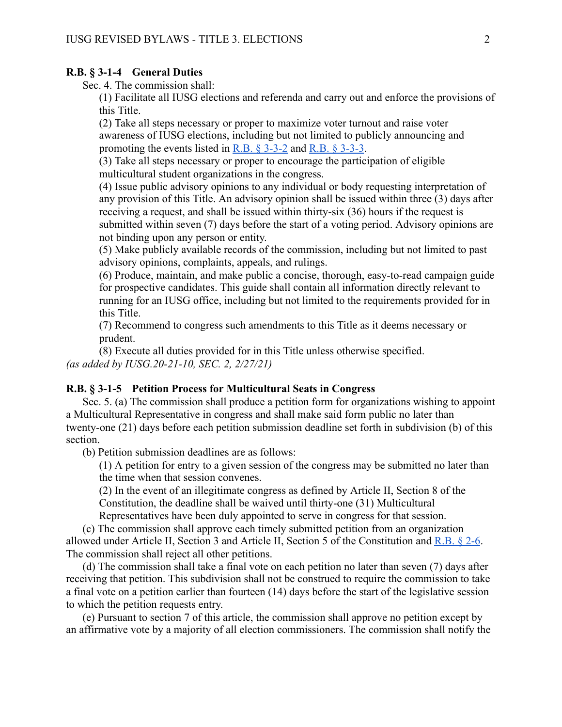#### <span id="page-13-0"></span>**R.B. § 3-1-4 General Duties**

Sec. 4. The commission shall:

(1) Facilitate all IUSG elections and referenda and carry out and enforce the provisions of this Title.

(2) Take all steps necessary or proper to maximize voter turnout and raise voter awareness of IUSG elections, including but not limited to publicly announcing and promoting the events listed in R.B.  $\S$  3-3-2 and R.B.  $\S$  3-3-3.

(3) Take all steps necessary or proper to encourage the participation of eligible multicultural student organizations in the congress.

(4) Issue public advisory opinions to any individual or body requesting interpretation of any provision of this Title. An advisory opinion shall be issued within three (3) days after receiving a request, and shall be issued within thirty-six (36) hours if the request is submitted within seven (7) days before the start of a voting period. Advisory opinions are not binding upon any person or entity.

(5) Make publicly available records of the commission, including but not limited to past advisory opinions, complaints, appeals, and rulings.

(6) Produce, maintain, and make public a concise, thorough, easy-to-read campaign guide for prospective candidates. This guide shall contain all information directly relevant to running for an IUSG office, including but not limited to the requirements provided for in this Title.

(7) Recommend to congress such amendments to this Title as it deems necessary or prudent.

(8) Execute all duties provided for in this Title unless otherwise specified. *(as added by IUSG.20-21-10, SEC. 2, 2/27/21)* 

#### <span id="page-13-1"></span>**R.B. § 3-1-5 Petition Process for Multicultural Seats in Congress**

Sec. 5. (a) The commission shall produce a petition form for organizations wishing to appoint a Multicultural Representative in congress and shall make said form public no later than twenty-one (21) days before each petition submission deadline set forth in subdivision (b) of this section.

(b) Petition submission deadlines are as follows:

(1) A petition for entry to a given session of the congress may be submitted no later than the time when that session convenes.

(2) In the event of an illegitimate congress as defined by Article II, Section 8 of the Constitution, the deadline shall be waived until thirty-one (31) Multicultural

Representatives have been duly appointed to serve in congress for that session.

(c) The commission shall approve each timely submitted petition from an organization allowed under Article II, Section 3 and Article II, Section 5 of the Constitution and  $R.B. § 2-6$ . The commission shall reject all other petitions.

(d) The commission shall take a final vote on each petition no later than seven (7) days after receiving that petition. This subdivision shall not be construed to require the commission to take a final vote on a petition earlier than fourteen (14) days before the start of the legislative session to which the petition requests entry.

(e) Pursuant to section 7 of this article, the commission shall approve no petition except by an affirmative vote by a majority of all election commissioners. The commission shall notify the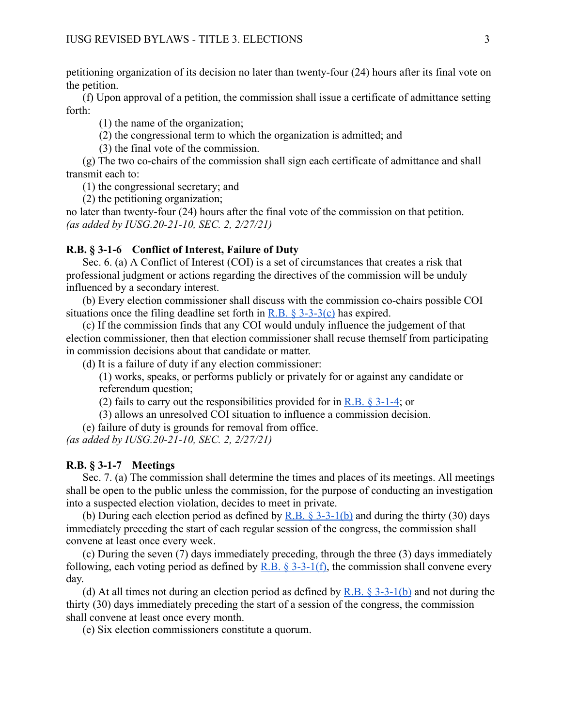petitioning organization of its decision no later than twenty-four (24) hours after its final vote on the petition.

(f) Upon approval of a petition, the commission shall issue a certificate of admittance setting forth:

(1) the name of the organization;

(2) the congressional term to which the organization is admitted; and

(3) the final vote of the commission.

(g) The two co-chairs of the commission shall sign each certificate of admittance and shall transmit each to:

(1) the congressional secretary; and

(2) the petitioning organization;

no later than twenty-four (24) hours after the final vote of the commission on that petition. *(as added by IUSG.20-21-10, SEC. 2, 2/27/21)* 

#### <span id="page-14-0"></span>**R.B. § 3-1-6 Conflict of Interest, Failure of Duty**

Sec. 6. (a) A Conflict of Interest (COI) is a set of circumstances that creates a risk that professional judgment or actions regarding the directives of the commission will be unduly influenced by a secondary interest.

(b) Every election commissioner shall discuss with the commission co-chairs possible COI situations once the filing deadline set forth in  $R.B. \$ § 3-3-3(c) has expired.

(c) If the commission finds that any COI would unduly influence the judgement of that election commissioner, then that election commissioner shall recuse themself from participating in commission decisions about that candidate or matter.

(d) It is a failure of duty if any election commissioner:

(1) works, speaks, or performs publicly or privately for or against any candidate or referendum question;

(2) fails to carry out the responsibilities provided for in R.B.  $\S 3$ -1-4; or

(3) allows an unresolved COI situation to influence a commission decision.

(e) failure of duty is grounds for removal from office.

*(as added by IUSG.20-21-10, SEC. 2, 2/27/21)* 

#### <span id="page-14-1"></span>**R.B. § 3-1-7 Meetings**

Sec. 7. (a) The commission shall determine the times and places of its meetings. All meetings shall be open to the public unless the commission, for the purpose of conducting an investigation into a suspected election violation, decides to meet in private.

(b) During each election period as defined by R.B.  $\S$  3-3-1(b) and during the thirty (30) days immediately preceding the start of each regular session of the congress, the commission shall convene at least once every week.

(c) During the seven (7) days immediately preceding, through the three (3) days immediately following, each voting period as defined by R.B.  $\S$  3-3-1(f), the commission shall convene every day.

(d) At all times not during an election period as defined by R.B.  $\S$  3-3-1(b) and not during the thirty (30) days immediately preceding the start of a session of the congress, the commission shall convene at least once every month.

(e) Six election commissioners constitute a quorum.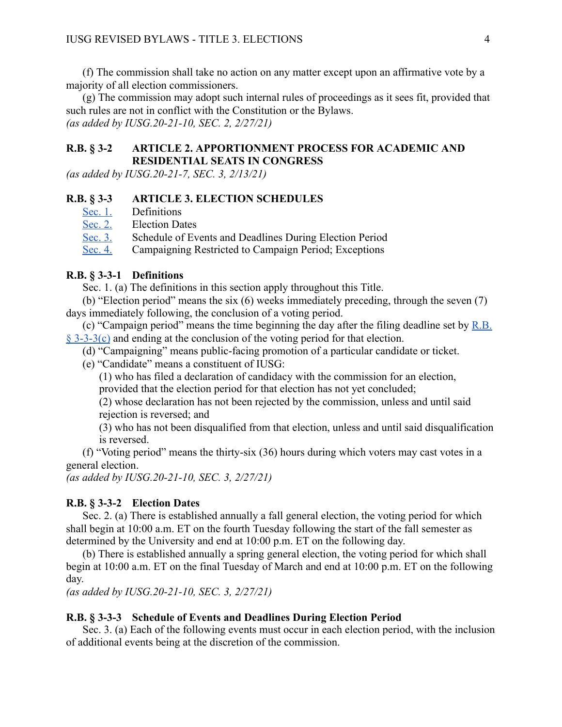(f) The commission shall take no action on any matter except upon an affirmative vote by a majority of all election commissioners.

(g) The commission may adopt such internal rules of proceedings as it sees fit, provided that such rules are not in conflict with the Constitution or the Bylaws. *(as added by IUSG.20-21-10, SEC. 2, 2/27/21)* 

### <span id="page-15-0"></span>**R.B. § 3-2 ARTICLE 2. APPORTIONMENT PROCESS FOR ACADEMIC AND RESIDENTIAL SEATS IN CONGRESS**

*(as added by IUSG.20-21-7, SEC. 3, 2/13/21)* 

#### <span id="page-15-1"></span>**R.B. § 3-3 ARTICLE 3. ELECTION SCHEDULES**

- [Sec. 1.](#page-15-4) Definitions
- [Sec. 2.](#page-15-2) Election Dates
- [Sec. 3.](#page-15-3) Schedule of Events and Deadlines During Election Period
- [Sec. 4.](#page-16-2) Campaigning Restricted to Campaign Period; Exceptions

#### <span id="page-15-4"></span>**R.B. § 3-3-1 Definitions**

Sec. 1. (a) The definitions in this section apply throughout this Title.

(b) "Election period" means the six (6) weeks immediately preceding, through the seven (7) days immediately following, the conclusion of a voting period.

(c) "Campaign period" means the time beginning the day after the filing deadline set by  $R.B.$ [§ 3-3-3\(c\)](#page-15-3) and ending at the conclusion of the voting period for that election.

- (d) "Campaigning" means public-facing promotion of a particular candidate or ticket.
- (e) "Candidate" means a constituent of IUSG:

(1) who has filed a declaration of candidacy with the commission for an election, provided that the election period for that election has not yet concluded;

(2) whose declaration has not been rejected by the commission, unless and until said rejection is reversed; and

(3) who has not been disqualified from that election, unless and until said disqualification is reversed.

(f) "Voting period" means the thirty-six (36) hours during which voters may cast votes in a general election.

*(as added by IUSG.20-21-10, SEC. 3, 2/27/21)* 

#### <span id="page-15-2"></span>**R.B. § 3-3-2 Election Dates**

Sec. 2. (a) There is established annually a fall general election, the voting period for which shall begin at 10:00 a.m. ET on the fourth Tuesday following the start of the fall semester as determined by the University and end at 10:00 p.m. ET on the following day.

(b) There is established annually a spring general election, the voting period for which shall begin at 10:00 a.m. ET on the final Tuesday of March and end at 10:00 p.m. ET on the following day.

*(as added by IUSG.20-21-10, SEC. 3, 2/27/21)* 

### <span id="page-15-3"></span>**R.B. § 3-3-3 Schedule of Events and Deadlines During Election Period**

Sec. 3. (a) Each of the following events must occur in each election period, with the inclusion of additional events being at the discretion of the commission.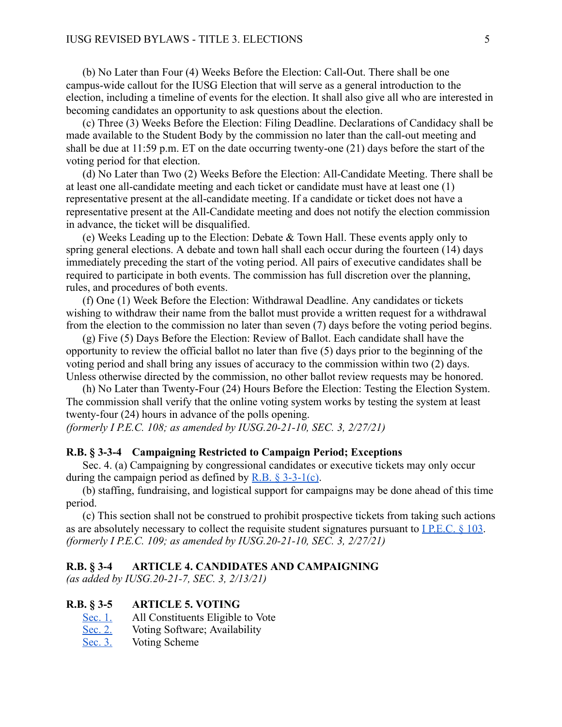(b) No Later than Four (4) Weeks Before the Election: Call-Out. There shall be one campus-wide callout for the IUSG Election that will serve as a general introduction to the election, including a timeline of events for the election. It shall also give all who are interested in becoming candidates an opportunity to ask questions about the election.

(c) Three (3) Weeks Before the Election: Filing Deadline. Declarations of Candidacy shall be made available to the Student Body by the commission no later than the call-out meeting and shall be due at 11:59 p.m. ET on the date occurring twenty-one (21) days before the start of the voting period for that election.

(d) No Later than Two (2) Weeks Before the Election: All-Candidate Meeting. There shall be at least one all-candidate meeting and each ticket or candidate must have at least one (1) representative present at the all-candidate meeting. If a candidate or ticket does not have a representative present at the All-Candidate meeting and does not notify the election commission in advance, the ticket will be disqualified.

(e) Weeks Leading up to the Election: Debate & Town Hall. These events apply only to spring general elections. A debate and town hall shall each occur during the fourteen (14) days immediately preceding the start of the voting period. All pairs of executive candidates shall be required to participate in both events. The commission has full discretion over the planning, rules, and procedures of both events.

(f) One (1) Week Before the Election: Withdrawal Deadline. Any candidates or tickets wishing to withdraw their name from the ballot must provide a written request for a withdrawal from the election to the commission no later than seven (7) days before the voting period begins.

(g) Five (5) Days Before the Election: Review of Ballot. Each candidate shall have the opportunity to review the official ballot no later than five (5) days prior to the beginning of the voting period and shall bring any issues of accuracy to the commission within two (2) days. Unless otherwise directed by the commission, no other ballot review requests may be honored.

(h) No Later than Twenty-Four (24) Hours Before the Election: Testing the Election System. The commission shall verify that the online voting system works by testing the system at least twenty-four (24) hours in advance of the polls opening. *(formerly I P.E.C. 108; as amended by IUSG.20-21-10, SEC. 3, 2/27/21)* 

### <span id="page-16-2"></span>**R.B. § 3-3-4 Campaigning Restricted to Campaign Period; Exceptions**

Sec. 4. (a) Campaigning by congressional candidates or executive tickets may only occur during the campaign period as defined by R.B.  $\S$  3-3-1(c).

(b) staffing, fundraising, and logistical support for campaigns may be done ahead of this time period.

(c) This section shall not be construed to prohibit prospective tickets from taking such actions as are absolutely necessary to collect the requisite student signatures pursuant to [I P.E.C. § 103](#page-43-0) . *(formerly I P.E.C. 109; as amended by IUSG.20-21-10, SEC. 3, 2/27/21)* 

### <span id="page-16-0"></span>**R.B. § 3-4 ARTICLE 4. CANDIDATES AND CAMPAIGNING**

*(as added by IUSG.20-21-7, SEC. 3, 2/13/21)* 

#### <span id="page-16-1"></span>**R.B. § 3-5 ARTICLE 5. VOTING**

- [Sec. 1.](#page-17-0) All Constituents Eligible to Vote<br>Sec. 2. Voting Software; Availability
- Voting Software; Availability
- [Sec. 3.](#page-17-2) Voting Scheme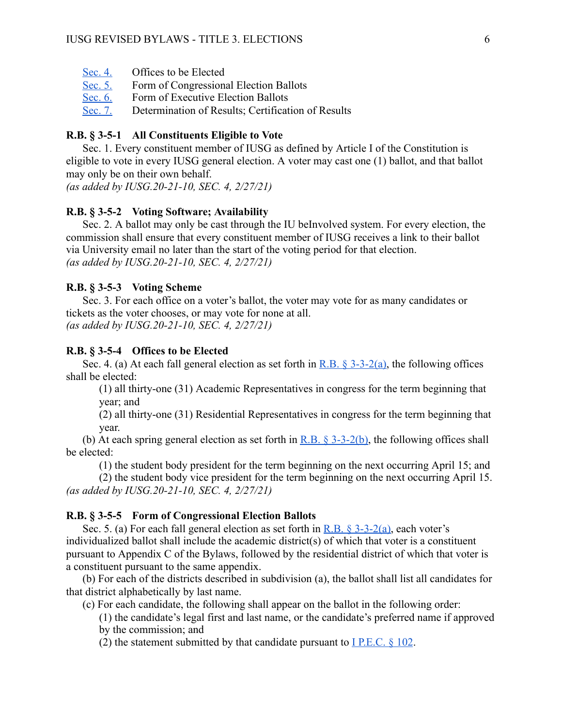- [Sec. 4.](#page-17-3) Offices to be Elected
- [Sec. 5.](#page-17-4) Form of Congressional Election Ballots
- [Sec. 6.](#page-18-0) Form of Executive Election Ballots
- [Sec. 7.](#page-18-1) Determination of Results; Certification of Results

### <span id="page-17-0"></span>**R.B. § 3-5-1 All Constituents Eligible to Vote**

Sec. 1. Every constituent member of IUSG as defined by Article I of the Constitution is eligible to vote in every IUSG general election. A voter may cast one (1) ballot, and that ballot may only be on their own behalf.

*(as added by IUSG.20-21-10, SEC. 4, 2/27/21)* 

### <span id="page-17-1"></span>**R.B. § 3-5-2 Voting Software; Availability**

Sec. 2. A ballot may only be cast through the IU beInvolved system. For every election, the commission shall ensure that every constituent member of IUSG receives a link to their ballot via University email no later than the start of the voting period for that election. *(as added by IUSG.20-21-10, SEC. 4, 2/27/21)* 

#### <span id="page-17-2"></span>**R.B. § 3-5-3 Voting Scheme**

Sec. 3. For each office on a voter's ballot, the voter may vote for as many candidates or tickets as the voter chooses, or may vote for none at all. *(as added by IUSG.20-21-10, SEC. 4, 2/27/21)* 

#### <span id="page-17-3"></span>**R.B. § 3-5-4 Offices to be Elected**

Sec. 4. (a) At each fall general election as set forth in R.B.  $\S$  3-3-2(a), the following offices shall be elected:

(1) all thirty-one (31) Academic Representatives in congress for the term beginning that year; and

(2) all thirty-one (31) Residential Representatives in congress for the term beginning that year.

(b) At each spring general election as set forth in R.B.  $\S$  3-3-2(b), the following offices shall be elected:

(1) the student body president for the term beginning on the next occurring April 15; and

(2) the student body vice president for the term beginning on the next occurring April 15. *(as added by IUSG.20-21-10, SEC. 4, 2/27/21)* 

#### <span id="page-17-4"></span>**R.B. § 3-5-5 Form of Congressional Election Ballots**

Sec. 5. (a) For each fall general election as set forth in R.B.  $\frac{8}{3}$ -3-2(a), each voter's individualized ballot shall include the academic district(s) of which that voter is a constituent pursuant to Appendix C of the Bylaws, followed by the residential district of which that voter is a constituent pursuant to the same appendix.

(b) For each of the districts described in subdivision (a), the ballot shall list all candidates for that district alphabetically by last name.

(c) For each candidate, the following shall appear on the ballot in the following order:

(1) the candidate's legal first and last name, or the candidate's preferred name if approved by the commission; and

(2) the statement submitted by that candidate pursuant to I P.E.C.  $\S$  102.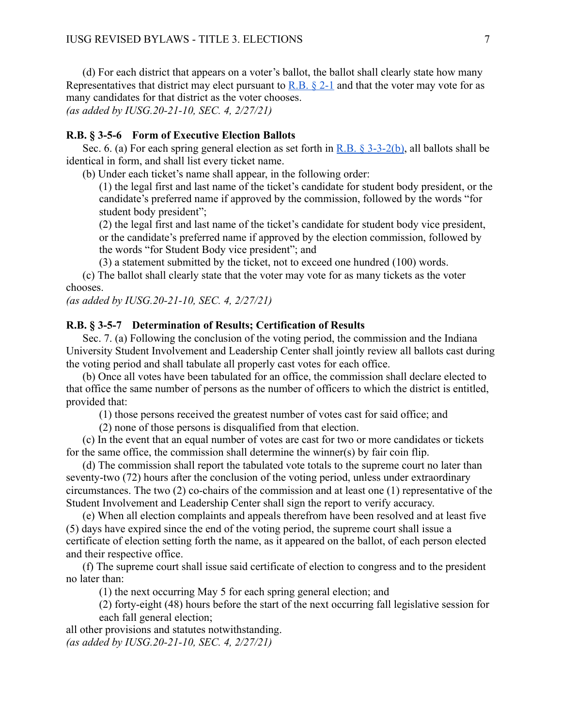(d) For each district that appears on a voter's ballot, the ballot shall clearly state how many Representatives that district may elect pursuant to R.B.  $\S$  2-1 and that the voter may vote for as many candidates for that district as the voter chooses.

*(as added by IUSG.20-21-10, SEC. 4, 2/27/21)* 

### <span id="page-18-0"></span>**R.B. § 3-5-6 Form of Executive Election Ballots**

Sec. 6. (a) For each spring general election as set forth in [R.B. § 3-3-2\(b\)](#page-15-2), all ballots shall be identical in form, and shall list every ticket name.

(b) Under each ticket's name shall appear, in the following order:

(1) the legal first and last name of the ticket's candidate for student body president, or the candidate's preferred name if approved by the commission, followed by the words "for student body president";

(2) the legal first and last name of the ticket's candidate for student body vice president, or the candidate's preferred name if approved by the election commission, followed by the words "for Student Body vice president"; and

(3) a statement submitted by the ticket, not to exceed one hundred (100) words.

(c) The ballot shall clearly state that the voter may vote for as many tickets as the voter chooses.

*(as added by IUSG.20-21-10, SEC. 4, 2/27/21)* 

#### <span id="page-18-1"></span>**R.B. § 3-5-7 Determination of Results; Certification of Results**

Sec. 7. (a) Following the conclusion of the voting period, the commission and the Indiana University Student Involvement and Leadership Center shall jointly review all ballots cast during the voting period and shall tabulate all properly cast votes for each office.

(b) Once all votes have been tabulated for an office, the commission shall declare elected to that office the same number of persons as the number of officers to which the district is entitled, provided that:

(1) those persons received the greatest number of votes cast for said office; and

(2) none of those persons is disqualified from that election.

(c) In the event that an equal number of votes are cast for two or more candidates or tickets for the same office, the commission shall determine the winner(s) by fair coin flip.

(d) The commission shall report the tabulated vote totals to the supreme court no later than seventy-two (72) hours after the conclusion of the voting period, unless under extraordinary circumstances. The two (2) co-chairs of the commission and at least one (1) representative of the Student Involvement and Leadership Center shall sign the report to verify accuracy.

(e) When all election complaints and appeals therefrom have been resolved and at least five (5) days have expired since the end of the voting period, the supreme court shall issue a certificate of election setting forth the name, as it appeared on the ballot, of each person elected and their respective office.

(f) The supreme court shall issue said certificate of election to congress and to the president no later than:

(1) the next occurring May 5 for each spring general election; and

(2) forty-eight (48) hours before the start of the next occurring fall legislative session for each fall general election;

all other provisions and statutes notwithstanding. *(as added by IUSG.20-21-10, SEC. 4, 2/27/21)*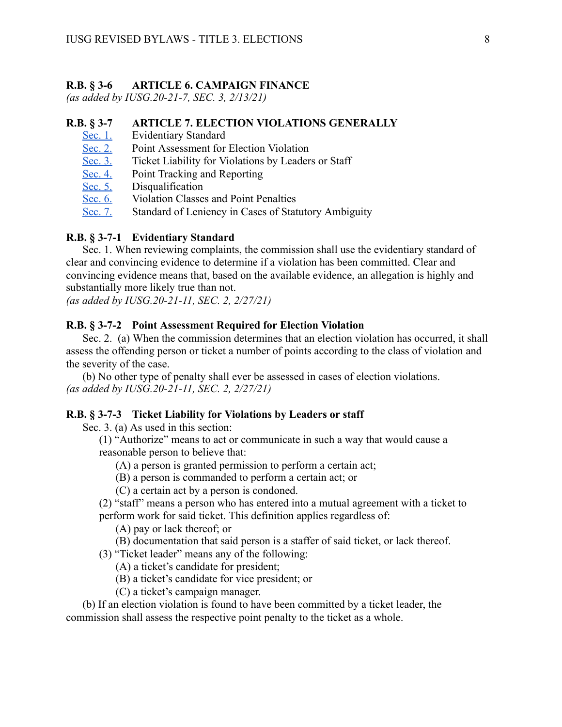#### <span id="page-19-0"></span>**R.B. § 3-6 ARTICLE 6. CAMPAIGN FINANCE**

*(as added by IUSG.20-21-7, SEC. 3, 2/13/21)* 

### <span id="page-19-1"></span>**R.B. § 3-7 ARTICLE 7. ELECTION VIOLATIONS GENERALLY**

- [Sec. 1.](#page-19-2) Evidentiary Standard
- [Sec. 2.](#page-19-3) Point Assessment for Election Violation
- [Sec. 3.](#page-19-4) Ticket Liability for Violations by Leaders or Staff
- [Sec. 4.](#page-20-0) Point Tracking and Reporting
- [Sec. 5.](#page-20-1) Disqualification
- [Sec. 6.](#page-20-2) Violation Classes and Point Penalties
- [Sec. 7.](#page-20-3) Standard of Leniency in Cases of Statutory Ambiguity

### <span id="page-19-2"></span>**R.B. § 3-7-1 Evidentiary Standard**

Sec. 1. When reviewing complaints, the commission shall use the evidentiary standard of clear and convincing evidence to determine if a violation has been committed. Clear and convincing evidence means that, based on the available evidence, an allegation is highly and substantially more likely true than not.

*(as added by IUSG.20-21-11, SEC. 2, 2/27/21)* 

#### <span id="page-19-3"></span>**R.B. § 3-7-2 Point Assessment Required for Election Violation**

Sec. 2. (a) When the commission determines that an election violation has occurred, it shall assess the offending person or ticket a number of points according to the class of violation and the severity of the case.

(b) No other type of penalty shall ever be assessed in cases of election violations. *(as added by IUSG.20-21-11, SEC. 2, 2/27/21)* 

#### <span id="page-19-4"></span>**R.B. § 3-7-3 Ticket Liability for Violations by Leaders or staff**

Sec. 3. (a) As used in this section:

(1) "Authorize" means to act or communicate in such a way that would cause a reasonable person to believe that:

(A) a person is granted permission to perform a certain act;

(B) a person is commanded to perform a certain act; or

(C) a certain act by a person is condoned.

(2) "staff" means a person who has entered into a mutual agreement with a ticket to perform work for said ticket. This definition applies regardless of:

(A) pay or lack thereof; or

(B) documentation that said person is a staffer of said ticket, or lack thereof.

(3) "Ticket leader" means any of the following:

(A) a ticket's candidate for president;

(B) a ticket's candidate for vice president; or

(C) a ticket's campaign manager.

(b) If an election violation is found to have been committed by a ticket leader, the commission shall assess the respective point penalty to the ticket as a whole.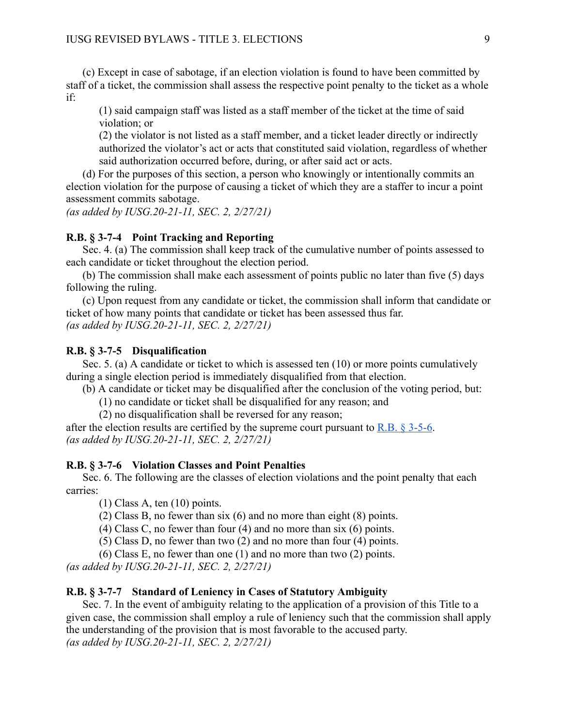(c) Except in case of sabotage, if an election violation is found to have been committed by staff of a ticket, the commission shall assess the respective point penalty to the ticket as a whole if:

(1) said campaign staff was listed as a staff member of the ticket at the time of said violation; or

(2) the violator is not listed as a staff member, and a ticket leader directly or indirectly authorized the violator's act or acts that constituted said violation, regardless of whether said authorization occurred before, during, or after said act or acts.

(d) For the purposes of this section, a person who knowingly or intentionally commits an election violation for the purpose of causing a ticket of which they are a staffer to incur a point assessment commits sabotage.

*(as added by IUSG.20-21-11, SEC. 2, 2/27/21)* 

### <span id="page-20-0"></span>**R.B. § 3-7-4 Point Tracking and Reporting**

Sec. 4. (a) The commission shall keep track of the cumulative number of points assessed to each candidate or ticket throughout the election period.

(b) The commission shall make each assessment of points public no later than five (5) days following the ruling.

(c) Upon request from any candidate or ticket, the commission shall inform that candidate or ticket of how many points that candidate or ticket has been assessed thus far. *(as added by IUSG.20-21-11, SEC. 2, 2/27/21)* 

#### <span id="page-20-1"></span>**R.B. § 3-7-5 Disqualification**

Sec. 5. (a) A candidate or ticket to which is assessed ten (10) or more points cumulatively during a single election period is immediately disqualified from that election.

(b) A candidate or ticket may be disqualified after the conclusion of the voting period, but:

(1) no candidate or ticket shall be disqualified for any reason; and

(2) no disqualification shall be reversed for any reason;

after the election results are certified by the supreme court pursuant to R.B.  $\S 3-5-6$ . *(as added by IUSG.20-21-11, SEC. 2, 2/27/21)* 

#### <span id="page-20-2"></span>**R.B. § 3-7-6 Violation Classes and Point Penalties**

Sec. 6. The following are the classes of election violations and the point penalty that each carries:

(1) Class A, ten (10) points.

(2) Class B, no fewer than six (6) and no more than eight (8) points.

(4) Class C, no fewer than four (4) and no more than six (6) points.

(5) Class D, no fewer than two (2) and no more than four (4) points.

(6) Class E, no fewer than one (1) and no more than two (2) points.

*(as added by IUSG.20-21-11, SEC. 2, 2/27/21)* 

#### <span id="page-20-3"></span>**R.B. § 3-7-7 Standard of Leniency in Cases of Statutory Ambiguity**

Sec. 7. In the event of ambiguity relating to the application of a provision of this Title to a given case, the commission shall employ a rule of leniency such that the commission shall apply the understanding of the provision that is most favorable to the accused party. *(as added by IUSG.20-21-11, SEC. 2, 2/27/21)*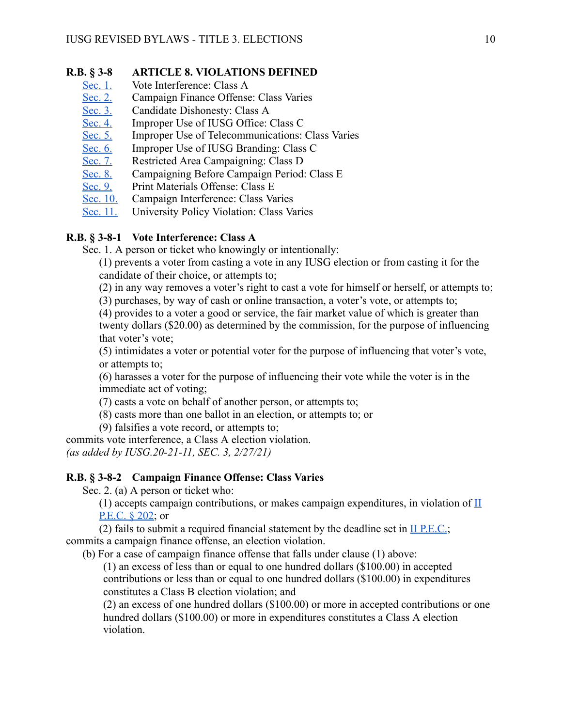### <span id="page-21-0"></span>**R.B. § 3-8 ARTICLE 8. VIOLATIONS DEFINED**

- [Sec. 1.](#page-21-1) Vote Interference: Class A
- [Sec. 2.](#page-21-2) Campaign Finance Offense: Class Varies
- [Sec. 3.](#page-22-0) Candidate Dishonesty: Class A
- [Sec. 4.](#page-22-1) Improper Use of IUSG Office: Class C
- [Sec. 5.](#page-22-2) Improper Use of Telecommunications: Class Varies
- [Sec. 6.](#page-22-3) Improper Use of IUSG Branding: Class C
- [Sec. 7.](#page-23-0) Restricted Area Campaigning: Class D
- [Sec. 8.](#page-23-1) Campaigning Before Campaign Period: Class E<br>Sec. 9. Print Materials Offense: Class E
- [Sec. 9.](#page-23-2) Print Materials Offense: Class E<br>Sec. 10. Campaign Interference: Class Va
- Campaign Interference: Class Varies
- [Sec. 11.](#page-24-1) University Policy Violation: Class Varies

### <span id="page-21-1"></span>**R.B. § 3-8-1 Vote Interference: Class A**

Sec. 1. A person or ticket who knowingly or intentionally:

(1) prevents a voter from casting a vote in any IUSG election or from casting it for the candidate of their choice, or attempts to;

(2) in any way removes a voter's right to cast a vote for himself or herself, or attempts to;

(3) purchases, by way of cash or online transaction, a voter's vote, or attempts to;

(4) provides to a voter a good or service, the fair market value of which is greater than twenty dollars (\$20.00) as determined by the commission, for the purpose of influencing that voter's vote;

(5) intimidates a voter or potential voter for the purpose of influencing that voter's vote, or attempts to;

(6) harasses a voter for the purpose of influencing their vote while the voter is in the immediate act of voting;

(7) casts a vote on behalf of another person, or attempts to;

(8) casts more than one ballot in an election, or attempts to; or

(9) falsifies a vote record, or attempts to;

commits vote interference, a Class A election violation. *(as added by IUSG.20-21-11, SEC. 3, 2/27/21)* 

### <span id="page-21-2"></span>**R.B. § 3-8-2 Campaign Finance Offense: Class Varies**

Sec. 2. (a) A person or ticket who:

(1) accepts campaign contributions, or makes campaign expenditures, in violation of [II](#page-45-0)  P.E.C. § 202; or

(2) fails to submit a required financial statement by the deadline set in  $II$  P.E.C.; commits a campaign finance offense, an election violation.

(b) For a case of campaign finance offense that falls under clause (1) above:

(1) an excess of less than or equal to one hundred dollars (\$100.00) in accepted contributions or less than or equal to one hundred dollars (\$100.00) in expenditures constitutes a Class B election violation; and

(2) an excess of one hundred dollars (\$100.00) or more in accepted contributions or one hundred dollars (\$100.00) or more in expenditures constitutes a Class A election violation.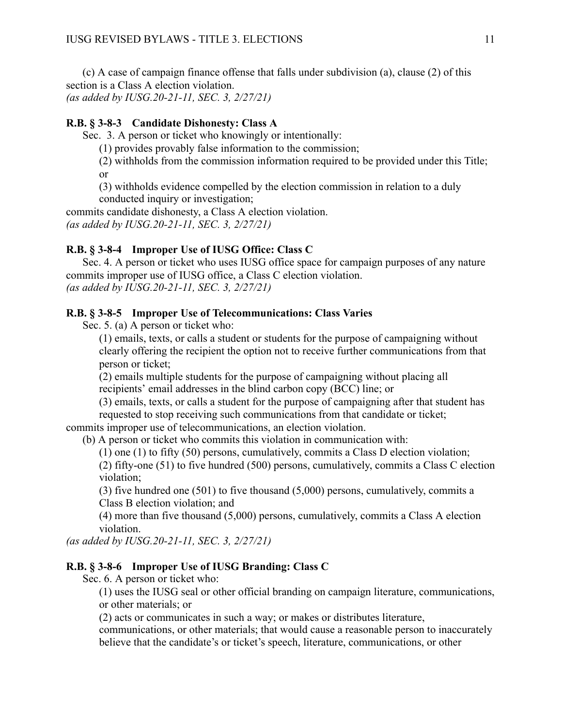(c) A case of campaign finance offense that falls under subdivision (a), clause (2) of this section is a Class A election violation. *(as added by IUSG.20-21-11, SEC. 3, 2/27/21)* 

### <span id="page-22-0"></span>**R.B. § 3-8-3 Candidate Dishonesty: Class A**

Sec. 3. A person or ticket who knowingly or intentionally:

(1) provides provably false information to the commission;

(2) withholds from the commission information required to be provided under this Title; or

(3) withholds evidence compelled by the election commission in relation to a duly conducted inquiry or investigation;

commits candidate dishonesty, a Class A election violation. *(as added by IUSG.20-21-11, SEC. 3, 2/27/21)* 

### <span id="page-22-1"></span>**R.B. § 3-8-4 Improper Use of IUSG Office: Class C**

Sec. 4. A person or ticket who uses IUSG office space for campaign purposes of any nature commits improper use of IUSG office, a Class C election violation. *(as added by IUSG.20-21-11, SEC. 3, 2/27/21)* 

### <span id="page-22-2"></span>**R.B. § 3-8-5 Improper Use of Telecommunications: Class Varies**

Sec. 5. (a) A person or ticket who:

(1) emails, texts, or calls a student or students for the purpose of campaigning without clearly offering the recipient the option not to receive further communications from that person or ticket;

(2) emails multiple students for the purpose of campaigning without placing all recipients' email addresses in the blind carbon copy (BCC) line; or

(3) emails, texts, or calls a student for the purpose of campaigning after that student has requested to stop receiving such communications from that candidate or ticket;

commits improper use of telecommunications, an election violation.

(b) A person or ticket who commits this violation in communication with:

(1) one (1) to fifty (50) persons, cumulatively, commits a Class D election violation;

(2) fifty-one (51) to five hundred (500) persons, cumulatively, commits a Class C election violation;

(3) five hundred one (501) to five thousand (5,000) persons, cumulatively, commits a Class B election violation; and

(4) more than five thousand (5,000) persons, cumulatively, commits a Class A election violation.

*(as added by IUSG.20-21-11, SEC. 3, 2/27/21)* 

### <span id="page-22-3"></span>**R.B. § 3-8-6 Improper Use of IUSG Branding: Class C**

Sec. 6. A person or ticket who:

(1) uses the IUSG seal or other official branding on campaign literature, communications, or other materials; or

(2) acts or communicates in such a way; or makes or distributes literature,

communications, or other materials; that would cause a reasonable person to inaccurately believe that the candidate's or ticket's speech, literature, communications, or other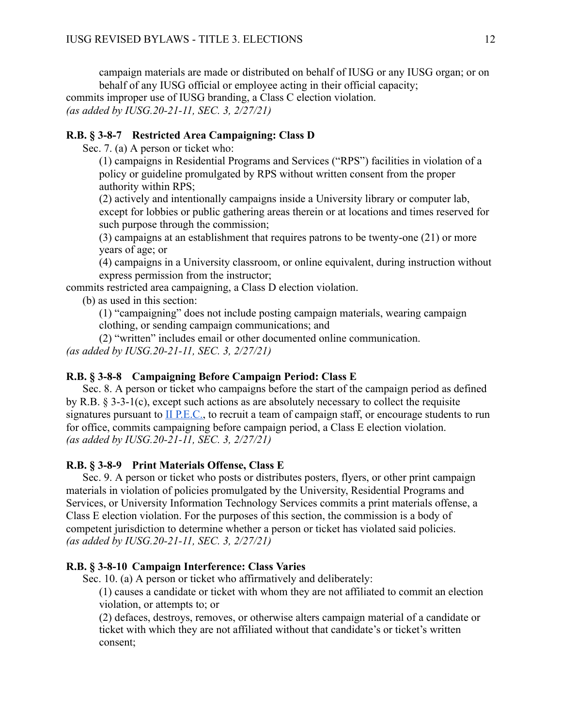campaign materials are made or distributed on behalf of IUSG or any IUSG organ; or on behalf of any IUSG official or employee acting in their official capacity; commits improper use of IUSG branding, a Class C election violation. *(as added by IUSG.20-21-11, SEC. 3, 2/27/21)* 

### <span id="page-23-0"></span>**R.B. § 3-8-7 Restricted Area Campaigning: Class D**

Sec. 7. (a) A person or ticket who:

(1) campaigns in Residential Programs and Services ("RPS") facilities in violation of a policy or guideline promulgated by RPS without written consent from the proper authority within RPS;

(2) actively and intentionally campaigns inside a University library or computer lab, except for lobbies or public gathering areas therein or at locations and times reserved for such purpose through the commission;

(3) campaigns at an establishment that requires patrons to be twenty-one (21) or more years of age; or

(4) campaigns in a University classroom, or online equivalent, during instruction without express permission from the instructor;

commits restricted area campaigning, a Class D election violation.

(b) as used in this section:

(1) "campaigning" does not include posting campaign materials, wearing campaign clothing, or sending campaign communications; and

(2) "written" includes email or other documented online communication. *(as added by IUSG.20-21-11, SEC. 3, 2/27/21)* 

### <span id="page-23-1"></span>**R.B. § 3-8-8 Campaigning Before Campaign Period: Class E**

Sec. 8. A person or ticket who campaigns before the start of the campaign period as defined by R.B. § 3-3-1(c), except such actions as are absolutely necessary to collect the requisite signatures pursuant to II P.E.C., to recruit a team of campaign staff, or encourage students to run for office, commits campaigning before campaign period, a Class E election violation. *(as added by IUSG.20-21-11, SEC. 3, 2/27/21)* 

### <span id="page-23-2"></span>**R.B. § 3-8-9 Print Materials Offense, Class E**

Sec. 9. A person or ticket who posts or distributes posters, flyers, or other print campaign materials in violation of policies promulgated by the University, Residential Programs and Services, or University Information Technology Services commits a print materials offense, a Class E election violation. For the purposes of this section, the commission is a body of competent jurisdiction to determine whether a person or ticket has violated said policies. *(as added by IUSG.20-21-11, SEC. 3, 2/27/21)* 

### <span id="page-23-3"></span>**R.B. § 3-8-10 Campaign Interference: Class Varies**

Sec. 10. (a) A person or ticket who affirmatively and deliberately:

(1) causes a candidate or ticket with whom they are not affiliated to commit an election violation, or attempts to; or

(2) defaces, destroys, removes, or otherwise alters campaign material of a candidate or ticket with which they are not affiliated without that candidate's or ticket's written consent;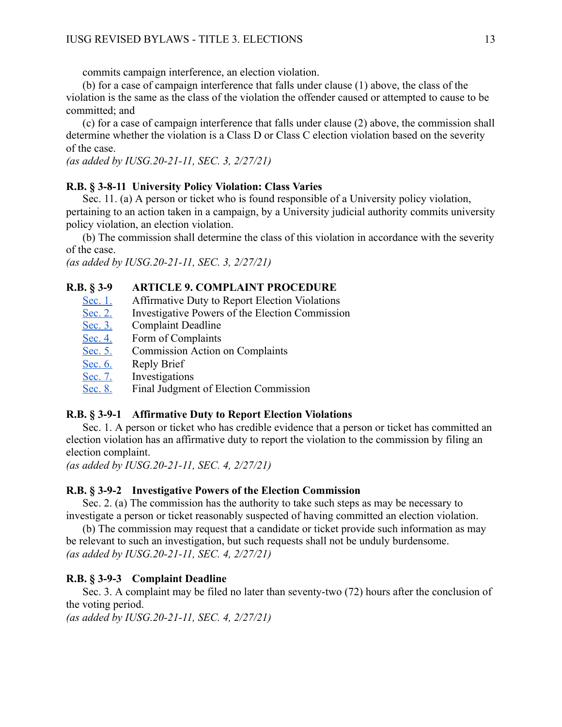commits campaign interference, an election violation.

(b) for a case of campaign interference that falls under clause (1) above, the class of the violation is the same as the class of the violation the offender caused or attempted to cause to be committed; and

(c) for a case of campaign interference that falls under clause (2) above, the commission shall determine whether the violation is a Class D or Class C election violation based on the severity of the case.

*(as added by IUSG.20-21-11, SEC. 3, 2/27/21)* 

### <span id="page-24-1"></span>**R.B. § 3-8-11 University Policy Violation: Class Varies**

Sec. 11. (a) A person or ticket who is found responsible of a University policy violation, pertaining to an action taken in a campaign, by a University judicial authority commits university policy violation, an election violation.

(b) The commission shall determine the class of this violation in accordance with the severity of the case.

*(as added by IUSG.20-21-11, SEC. 3, 2/27/21)* 

### <span id="page-24-0"></span>**R.B. § 3-9 ARTICLE 9. COMPLAINT PROCEDURE**

- [Sec. 1.](#page-24-2) Affirmative Duty to Report Election Violations
- [Sec. 2.](#page-24-3) Investigative Powers of the Election Commission
- [Sec. 3.](#page-24-4) Complaint Deadline
- [Sec. 4.](#page-25-0) Form of Complaints<br>Sec. 5. Commission Action
- Commission Action on Complaints
- [Sec. 6.](#page-25-2) Reply Brief
- [Sec. 7.](#page-25-3) Investigations
- [Sec. 8.](#page-25-4) Final Judgment of Election Commission

#### <span id="page-24-2"></span>**R.B. § 3-9-1 Affirmative Duty to Report Election Violations**

Sec. 1. A person or ticket who has credible evidence that a person or ticket has committed an election violation has an affirmative duty to report the violation to the commission by filing an election complaint.

*(as added by IUSG.20-21-11, SEC. 4, 2/27/21)* 

#### <span id="page-24-3"></span>**R.B. § 3-9-2 Investigative Powers of the Election Commission**

Sec. 2. (a) The commission has the authority to take such steps as may be necessary to investigate a person or ticket reasonably suspected of having committed an election violation.

(b) The commission may request that a candidate or ticket provide such information as may be relevant to such an investigation, but such requests shall not be unduly burdensome. *(as added by IUSG.20-21-11, SEC. 4, 2/27/21)* 

### <span id="page-24-4"></span>**R.B. § 3-9-3 Complaint Deadline**

Sec. 3. A complaint may be filed no later than seventy-two (72) hours after the conclusion of the voting period.

*(as added by IUSG.20-21-11, SEC. 4, 2/27/21)*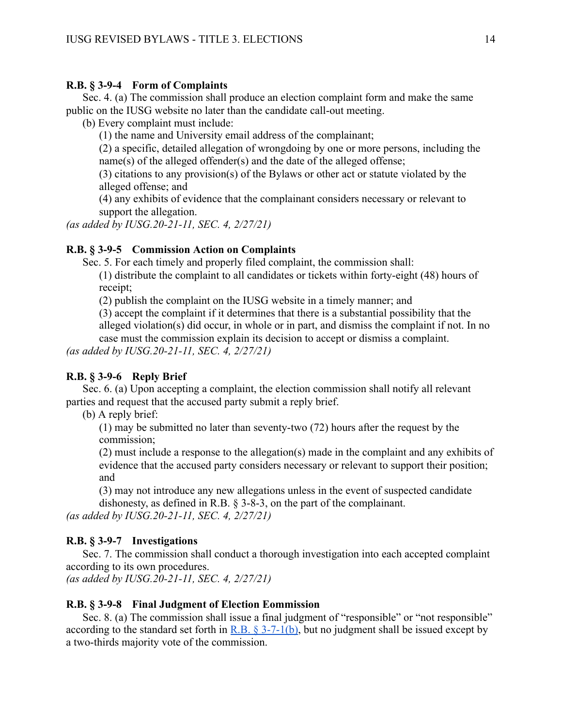### <span id="page-25-0"></span>**R.B. § 3-9-4 Form of Complaints**

Sec. 4. (a) The commission shall produce an election complaint form and make the same public on the IUSG website no later than the candidate call-out meeting.

(b) Every complaint must include:

(1) the name and University email address of the complainant;

(2) a specific, detailed allegation of wrongdoing by one or more persons, including the name(s) of the alleged offender(s) and the date of the alleged offense;

(3) citations to any provision(s) of the Bylaws or other act or statute violated by the alleged offense; and

(4) any exhibits of evidence that the complainant considers necessary or relevant to support the allegation.

*(as added by IUSG.20-21-11, SEC. 4, 2/27/21)* 

### <span id="page-25-1"></span>**R.B. § 3-9-5 Commission Action on Complaints**

Sec. 5. For each timely and properly filed complaint, the commission shall:

(1) distribute the complaint to all candidates or tickets within forty-eight (48) hours of receipt;

(2) publish the complaint on the IUSG website in a timely manner; and

(3) accept the complaint if it determines that there is a substantial possibility that the alleged violation(s) did occur, in whole or in part, and dismiss the complaint if not. In no

case must the commission explain its decision to accept or dismiss a complaint.

*(as added by IUSG.20-21-11, SEC. 4, 2/27/21)* 

### <span id="page-25-2"></span>**R.B. § 3-9-6 Reply Brief**

Sec. 6. (a) Upon accepting a complaint, the election commission shall notify all relevant parties and request that the accused party submit a reply brief.

(b) A reply brief:

(1) may be submitted no later than seventy-two (72) hours after the request by the commission;

(2) must include a response to the allegation(s) made in the complaint and any exhibits of evidence that the accused party considers necessary or relevant to support their position; and

(3) may not introduce any new allegations unless in the event of suspected candidate dishonesty, as defined in R.B. § 3-8-3, on the part of the complainant.

*(as added by IUSG.20-21-11, SEC. 4, 2/27/21)* 

### <span id="page-25-3"></span>**R.B. § 3-9-7 Investigations**

Sec. 7. The commission shall conduct a thorough investigation into each accepted complaint according to its own procedures.

*(as added by IUSG.20-21-11, SEC. 4, 2/27/21)* 

### <span id="page-25-4"></span>**R.B. § 3-9-8 Final Judgment of Election Eommission**

Sec. 8. (a) The commission shall issue a final judgment of "responsible" or "not responsible" according to the standard set forth in  $R.B. \$ § 3-7-1(b), but no judgment shall be issued except by a two-thirds majority vote of the commission.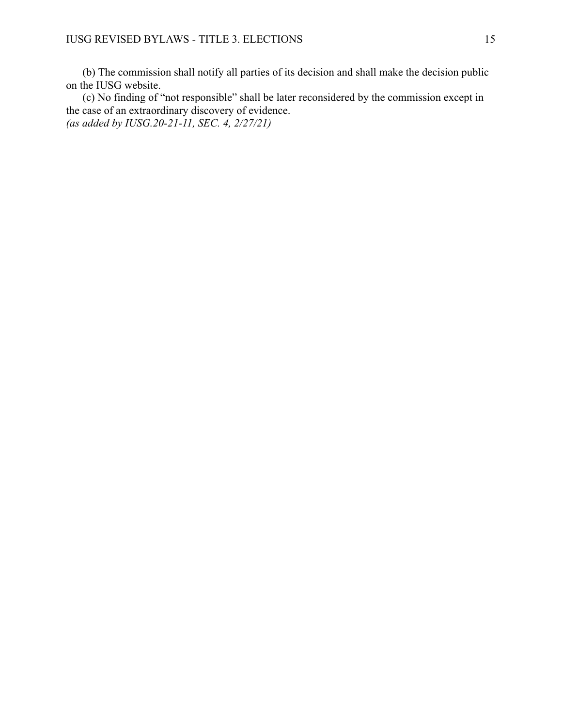(b) The commission shall notify all parties of its decision and shall make the decision public on the IUSG website.

(c) No finding of "not responsible" shall be later reconsidered by the commission except in the case of an extraordinary discovery of evidence. *(as added by IUSG.20-21-11, SEC. 4, 2/27/21)*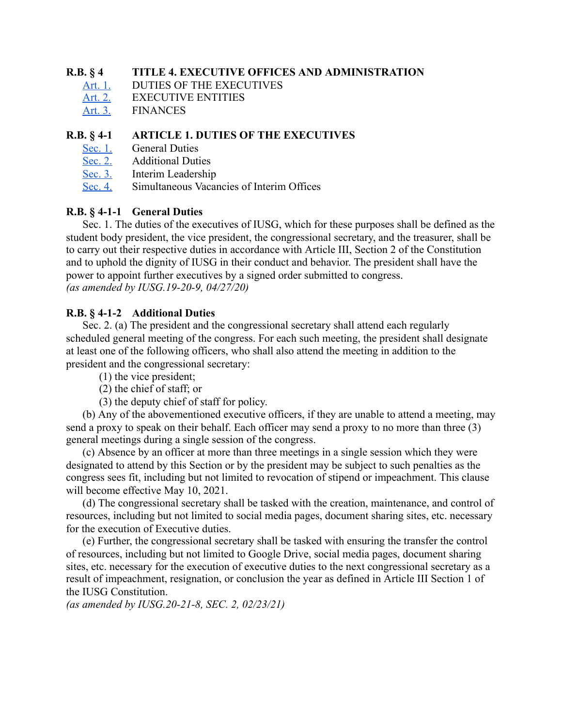### <span id="page-27-0"></span>**R.B. § 4 TITLE 4. EXECUTIVE OFFICES AND ADMINISTRATION**

- [Art. 1. DUTIES OF THE EXECUTIVES](#page-27-1)<br>Art. 2. EXECUTIVE ENTITIES
- **EXECUTIVE ENTITIES**
- [Art. 3. FINANCES](#page-32-0)

### <span id="page-27-1"></span>**R.B. § 4-1 ARTICLE 1. DUTIES OF THE EXECUTIVES**

- [Sec. 1.](#page-27-2) [General Duties](#page-27-2)<br>Sec. 2. Additional Duti
- **Additional Duties**
- [Sec. 3.](#page-28-1) [Interim Leadership](#page-28-1)
- [Sec. 4.](#page-28-2) [Simultaneous Vacancies of Interim Offices](#page-28-2)

### <span id="page-27-2"></span>**R.B. § 4-1-1 General Duties**

Sec. 1. The duties of the executives of IUSG, which for these purposes shall be defined as the student body president, the vice president, the congressional secretary, and the treasurer, shall be to carry out their respective duties in accordance with Article III, Section 2 of the Constitution and to uphold the dignity of IUSG in their conduct and behavior. The president shall have the power to appoint further executives by a signed order submitted to congress. *(as amended by IUSG.19-20-9, 04/27/20)* 

### <span id="page-27-3"></span>**R.B. § 4-1-2 Additional Duties**

Sec. 2. (a) The president and the congressional secretary shall attend each regularly scheduled general meeting of the congress. For each such meeting, the president shall designate at least one of the following officers, who shall also attend the meeting in addition to the president and the congressional secretary:

- (1) the vice president;
- (2) the chief of staff; or
- (3) the deputy chief of staff for policy.

(b) Any of the abovementioned executive officers, if they are unable to attend a meeting, may send a proxy to speak on their behalf. Each officer may send a proxy to no more than three (3) general meetings during a single session of the congress.

(c) Absence by an officer at more than three meetings in a single session which they were designated to attend by this Section or by the president may be subject to such penalties as the congress sees fit, including but not limited to revocation of stipend or impeachment. This clause will become effective May 10, 2021.

(d) The congressional secretary shall be tasked with the creation, maintenance, and control of resources, including but not limited to social media pages, document sharing sites, etc. necessary for the execution of Executive duties.

(e) Further, the congressional secretary shall be tasked with ensuring the transfer the control of resources, including but not limited to Google Drive, social media pages, document sharing sites, etc. necessary for the execution of executive duties to the next congressional secretary as a result of impeachment, resignation, or conclusion the year as defined in Article III Section 1 of the IUSG Constitution.

*(as amended by IUSG.20-21-8, SEC. 2, 02/23/21)*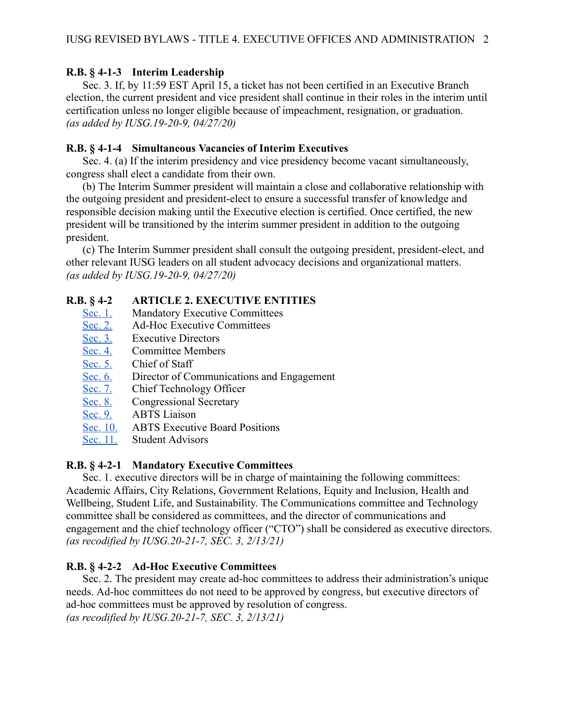### <span id="page-28-1"></span>**R.B. § 4-1-3 Interim Leadership**

Sec. 3. If, by 11:59 EST April 15, a ticket has not been certified in an Executive Branch election, the current president and vice president shall continue in their roles in the interim until certification unless no longer eligible because of impeachment, resignation, or graduation. *(as added by IUSG.19-20-9, 04/27/20)* 

### <span id="page-28-2"></span>**R.B. § 4-1-4 Simultaneous Vacancies of Interim Executives**

Sec. 4. (a) If the interim presidency and vice presidency become vacant simultaneously, congress shall elect a candidate from their own.

(b) The Interim Summer president will maintain a close and collaborative relationship with the outgoing president and president-elect to ensure a successful transfer of knowledge and responsible decision making until the Executive election is certified. Once certified, the new president will be transitioned by the interim summer president in addition to the outgoing president.

(c) The Interim Summer president shall consult the outgoing president, president-elect, and other relevant IUSG leaders on all student advocacy decisions and organizational matters. *(as added by IUSG.19-20-9, 04/27/20)* 

### <span id="page-28-0"></span>**R.B. § 4-2 ARTICLE 2. EXECUTIVE ENTITIES**

- [Sec. 1.](#page-28-3) Mandatory Executive Committees
- [Sec. 2.](#page-28-4) Ad-Hoc Executive Committees
- [Sec. 3.](#page-29-0) [Executive Directors](#page-29-0)
- [Sec. 4.](#page-29-1) [Committee Members](#page-29-1)
- [Sec. 5.](#page-29-2) [Chief of Staff](#page-29-2)
- [Sec. 6.](#page-30-1) [Director of Communications and Engagement](#page-30-1)
- [Sec. 7.](#page-30-0) Chief Technology Officer
- [Sec. 8.](#page-31-0) Congressional Secretary<br>Sec. 9. ABTS Liaison
- ABTS Liaison
- [Sec. 10. ABTS Executive Board Positions](#page-32-2)
- [Sec. 11. Student Advisors](#page-32-3)

### <span id="page-28-3"></span>**R.B. § 4-2-1 Mandatory Executive Committees**

Sec. 1. executive directors will be in charge of maintaining the following committees: Academic Affairs, City Relations, Government Relations, Equity and Inclusion, Health and Wellbeing, Student Life, and Sustainability. The Communications committee and Technology committee shall be considered as committees, and the director of communications and engagement and the chief technology officer ("CTO") shall be considered as executive directors. *(as recodified by IUSG.20-21-7, SEC. 3, 2/13/21)* 

### <span id="page-28-4"></span>**R.B. § 4-2-2 Ad-Hoc Executive Committees**

Sec. 2. The president may create ad-hoc committees to address their administration's unique needs. Ad-hoc committees do not need to be approved by congress, but executive directors of ad-hoc committees must be approved by resolution of congress. *(as recodified by IUSG.20-21-7, SEC. 3, 2/13/21)*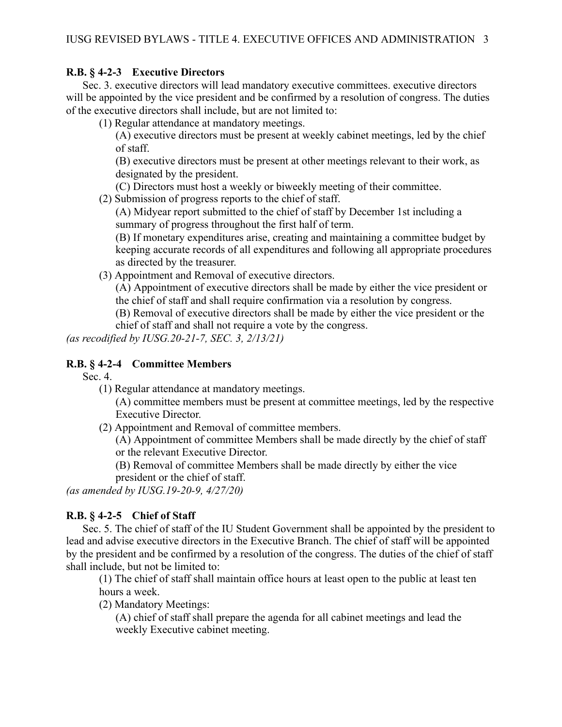### <span id="page-29-0"></span>**R.B. § 4-2-3 Executive Directors**

Sec. 3. executive directors will lead mandatory executive committees. executive directors will be appointed by the vice president and be confirmed by a resolution of congress. The duties of the executive directors shall include, but are not limited to:

(1) Regular attendance at mandatory meetings.

(A) executive directors must be present at weekly cabinet meetings, led by the chief of staff.

(B) executive directors must be present at other meetings relevant to their work, as designated by the president.

(C) Directors must host a weekly or biweekly meeting of their committee.

(2) Submission of progress reports to the chief of staff.

(A) Midyear report submitted to the chief of staff by December 1st including a summary of progress throughout the first half of term.

(B) If monetary expenditures arise, creating and maintaining a committee budget by keeping accurate records of all expenditures and following all appropriate procedures as directed by the treasurer.

(3) Appointment and Removal of executive directors.

(A) Appointment of executive directors shall be made by either the vice president or the chief of staff and shall require confirmation via a resolution by congress.

(B) Removal of executive directors shall be made by either the vice president or the chief of staff and shall not require a vote by the congress.

*(as recodified by IUSG.20-21-7, SEC. 3, 2/13/21)* 

### <span id="page-29-1"></span>**R.B. § 4-2-4 Committee Members**

Sec. 4.

(1) Regular attendance at mandatory meetings.

(A) committee members must be present at committee meetings, led by the respective Executive Director.

(2) Appointment and Removal of committee members.

(A) Appointment of committee Members shall be made directly by the chief of staff or the relevant Executive Director.

(B) Removal of committee Members shall be made directly by either the vice president or the chief of staff.

*(as amended by IUSG.19-20-9, 4/27/20)* 

### <span id="page-29-2"></span>**R.B. § 4-2-5 Chief of Staff**

Sec. 5. The chief of staff of the IU Student Government shall be appointed by the president to lead and advise executive directors in the Executive Branch. The chief of staff will be appointed by the president and be confirmed by a resolution of the congress. The duties of the chief of staff shall include, but not be limited to:

(1) The chief of staff shall maintain office hours at least open to the public at least ten hours a week.

(2) Mandatory Meetings:

(A) chief of staff shall prepare the agenda for all cabinet meetings and lead the weekly Executive cabinet meeting.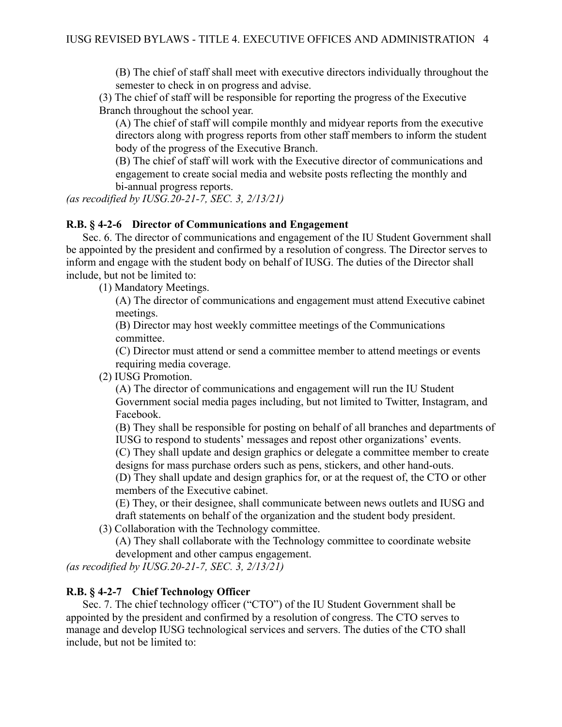(B) The chief of staff shall meet with executive directors individually throughout the semester to check in on progress and advise.

(3) The chief of staff will be responsible for reporting the progress of the Executive Branch throughout the school year.

(A) The chief of staff will compile monthly and midyear reports from the executive directors along with progress reports from other staff members to inform the student body of the progress of the Executive Branch.

(B) The chief of staff will work with the Executive director of communications and engagement to create social media and website posts reflecting the monthly and bi-annual progress reports.

*(as recodified by IUSG.20-21-7, SEC. 3, 2/13/21)* 

### <span id="page-30-1"></span>**R.B. § 4-2-6 Director of Communications and Engagement**

Sec. 6. The director of communications and engagement of the IU Student Government shall be appointed by the president and confirmed by a resolution of congress. The Director serves to inform and engage with the student body on behalf of IUSG. The duties of the Director shall include, but not be limited to:

(1) Mandatory Meetings.

(A) The director of communications and engagement must attend Executive cabinet meetings.

(B) Director may host weekly committee meetings of the Communications committee.

(C) Director must attend or send a committee member to attend meetings or events requiring media coverage.

(2) IUSG Promotion.

(A) The director of communications and engagement will run the IU Student Government social media pages including, but not limited to Twitter, Instagram, and Facebook.

(B) They shall be responsible for posting on behalf of all branches and departments of IUSG to respond to students' messages and repost other organizations' events.

(C) They shall update and design graphics or delegate a committee member to create designs for mass purchase orders such as pens, stickers, and other hand-outs.

(D) They shall update and design graphics for, or at the request of, the CTO or other members of the Executive cabinet.

(E) They, or their designee, shall communicate between news outlets and IUSG and draft statements on behalf of the organization and the student body president.

(3) Collaboration with the Technology committee.

(A) They shall collaborate with the Technology committee to coordinate website development and other campus engagement.

*(as recodified by IUSG.20-21-7, SEC. 3, 2/13/21)* 

### <span id="page-30-0"></span>**R.B. § 4-2-7 Chief Technology Officer**

Sec. 7. The chief technology officer ("CTO") of the IU Student Government shall be appointed by the president and confirmed by a resolution of congress. The CTO serves to manage and develop IUSG technological services and servers. The duties of the CTO shall include, but not be limited to: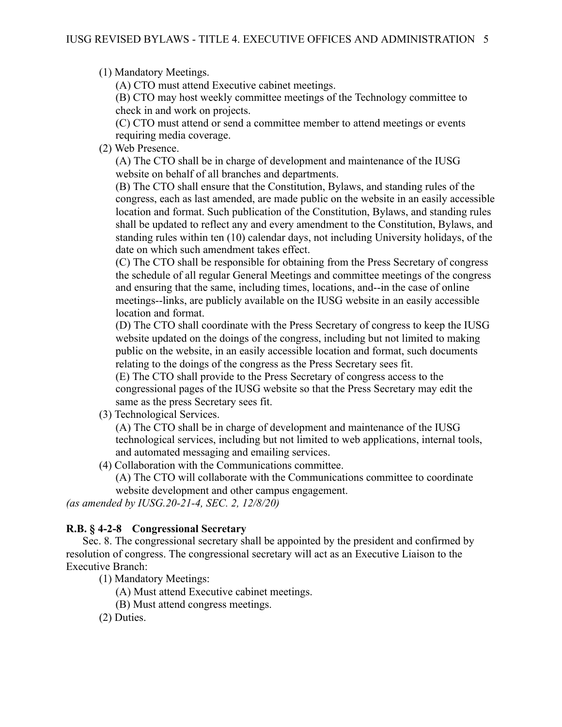(1) Mandatory Meetings.

(A) CTO must attend Executive cabinet meetings.

(B) CTO may host weekly committee meetings of the Technology committee to check in and work on projects.

(C) CTO must attend or send a committee member to attend meetings or events requiring media coverage.

(2) Web Presence.

(A) The CTO shall be in charge of development and maintenance of the IUSG website on behalf of all branches and departments.

(B) The CTO shall ensure that the Constitution, Bylaws, and standing rules of the congress, each as last amended, are made public on the website in an easily accessible location and format. Such publication of the Constitution, Bylaws, and standing rules shall be updated to reflect any and every amendment to the Constitution, Bylaws, and standing rules within ten (10) calendar days, not including University holidays, of the date on which such amendment takes effect.

(C) The CTO shall be responsible for obtaining from the Press Secretary of congress the schedule of all regular General Meetings and committee meetings of the congress and ensuring that the same, including times, locations, and--in the case of online meetings--links, are publicly available on the IUSG website in an easily accessible location and format.

(D) The CTO shall coordinate with the Press Secretary of congress to keep the IUSG website updated on the doings of the congress, including but not limited to making public on the website, in an easily accessible location and format, such documents relating to the doings of the congress as the Press Secretary sees fit.

(E) The CTO shall provide to the Press Secretary of congress access to the congressional pages of the IUSG website so that the Press Secretary may edit the same as the press Secretary sees fit.

(3) Technological Services.

(A) The CTO shall be in charge of development and maintenance of the IUSG technological services, including but not limited to web applications, internal tools, and automated messaging and emailing services.

(4) Collaboration with the Communications committee.

(A) The CTO will collaborate with the Communications committee to coordinate website development and other campus engagement.

*(as amended by IUSG.20-21-4, SEC. 2, 12/8/20)* 

### <span id="page-31-0"></span>**R.B. § 4-2-8 Congressional Secretary**

Sec. 8. The congressional secretary shall be appointed by the president and confirmed by resolution of congress. The congressional secretary will act as an Executive Liaison to the Executive Branch:

(1) Mandatory Meetings:

(A) Must attend Executive cabinet meetings.

(B) Must attend congress meetings.

(2) Duties.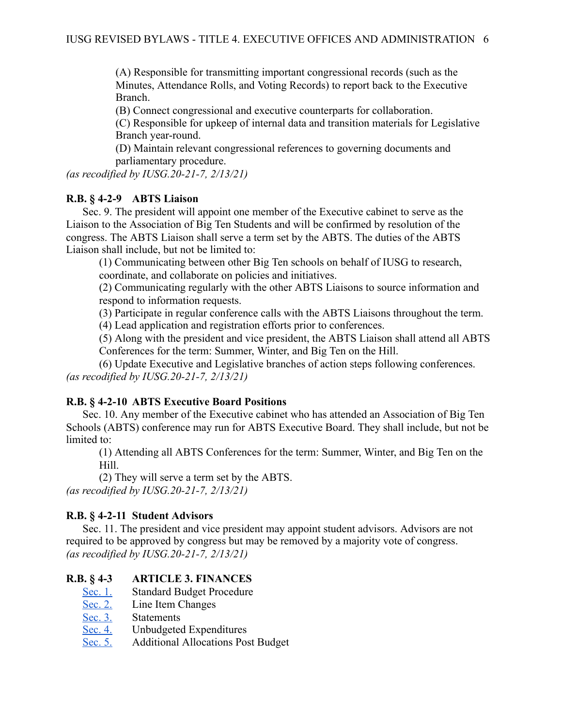(A) Responsible for transmitting important congressional records (such as the Minutes, Attendance Rolls, and Voting Records) to report back to the Executive Branch.

(B) Connect congressional and executive counterparts for collaboration.

(C) Responsible for upkeep of internal data and transition materials for Legislative Branch year-round.

(D) Maintain relevant congressional references to governing documents and parliamentary procedure.

*(as recodified by IUSG.20-21-7, 2/13/21)* 

### <span id="page-32-1"></span>**R.B. § 4-2-9 ABTS Liaison**

Sec. 9. The president will appoint one member of the Executive cabinet to serve as the Liaison to the Association of Big Ten Students and will be confirmed by resolution of the congress. The ABTS Liaison shall serve a term set by the ABTS. The duties of the ABTS Liaison shall include, but not be limited to:

(1) Communicating between other Big Ten schools on behalf of IUSG to research, coordinate, and collaborate on policies and initiatives.

(2) Communicating regularly with the other ABTS Liaisons to source information and respond to information requests.

(3) Participate in regular conference calls with the ABTS Liaisons throughout the term.

(4) Lead application and registration efforts prior to conferences.

(5) Along with the president and vice president, the ABTS Liaison shall attend all ABTS Conferences for the term: Summer, Winter, and Big Ten on the Hill.

(6) Update Executive and Legislative branches of action steps following conferences. *(as recodified by IUSG.20-21-7, 2/13/21)* 

### <span id="page-32-2"></span>**R.B. § 4-2-10 ABTS Executive Board Positions**

Sec. 10. Any member of the Executive cabinet who has attended an Association of Big Ten Schools (ABTS) conference may run for ABTS Executive Board. They shall include, but not be limited to:

(1) Attending all ABTS Conferences for the term: Summer, Winter, and Big Ten on the Hill.

(2) They will serve a term set by the ABTS.

*(as recodified by IUSG.20-21-7, 2/13/21)* 

### <span id="page-32-3"></span>**R.B. § 4-2-11 Student Advisors**

Sec. 11. The president and vice president may appoint student advisors. Advisors are not required to be approved by congress but may be removed by a majority vote of congress. *(as recodified by IUSG.20-21-7, 2/13/21)* 

### <span id="page-32-0"></span>**R.B. § 4-3 ARTICLE 3. FINANCES**

- [Sec. 1.](#page-33-0) [Standard Budget Procedure](#page-33-0)
- [Sec. 2.](#page-33-1) [Line Item Changes](#page-33-1)
- [Sec. 3.](#page-33-2) [Statements](#page-33-2)
- [Sec. 4.](#page-33-3) Unbudgeted Expenditures<br>Sec. 5. Additional Allocations Pos
- Additional Allocations Post Budget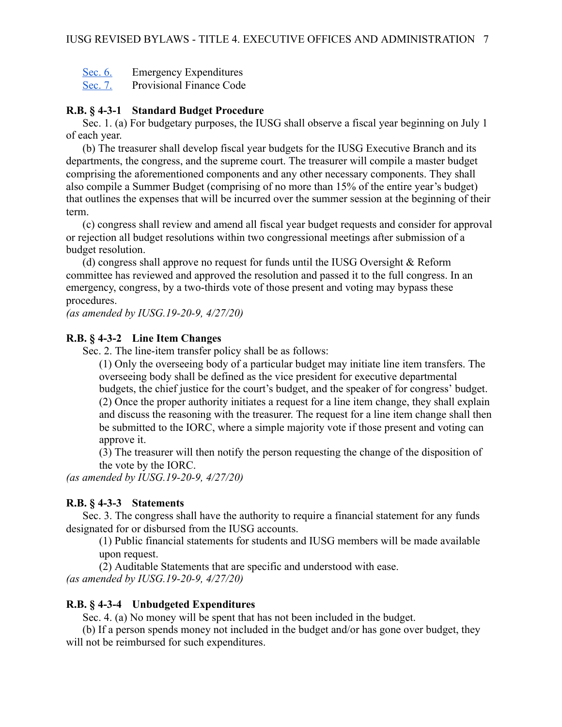[Sec. 6.](#page-34-1) Emergency Expenditures

[Sec. 7.](#page-34-2) [Provisional Finance Code](#page-34-2) 

### <span id="page-33-0"></span>**R.B. § 4-3-1 Standard Budget Procedure**

Sec. 1. (a) For budgetary purposes, the IUSG shall observe a fiscal year beginning on July 1 of each year.

(b) The treasurer shall develop fiscal year budgets for the IUSG Executive Branch and its departments, the congress, and the supreme court. The treasurer will compile a master budget comprising the aforementioned components and any other necessary components. They shall also compile a Summer Budget (comprising of no more than 15% of the entire year's budget) that outlines the expenses that will be incurred over the summer session at the beginning of their term.

(c) congress shall review and amend all fiscal year budget requests and consider for approval or rejection all budget resolutions within two congressional meetings after submission of a budget resolution.

(d) congress shall approve no request for funds until the IUSG Oversight & Reform committee has reviewed and approved the resolution and passed it to the full congress. In an emergency, congress, by a two-thirds vote of those present and voting may bypass these procedures.

*(as amended by IUSG.19-20-9, 4/27/20)* 

### <span id="page-33-1"></span>**R.B. § 4-3-2 Line Item Changes**

Sec. 2. The line-item transfer policy shall be as follows:

(1) Only the overseeing body of a particular budget may initiate line item transfers. The overseeing body shall be defined as the vice president for executive departmental budgets, the chief justice for the court's budget, and the speaker of for congress' budget. (2) Once the proper authority initiates a request for a line item change, they shall explain and discuss the reasoning with the treasurer. The request for a line item change shall then be submitted to the IORC, where a simple majority vote if those present and voting can approve it.

(3) The treasurer will then notify the person requesting the change of the disposition of the vote by the IORC.

*(as amended by IUSG.19-20-9, 4/27/20)* 

### <span id="page-33-2"></span>**R.B. § 4-3-3 Statements**

Sec. 3. The congress shall have the authority to require a financial statement for any funds designated for or disbursed from the IUSG accounts.

(1) Public financial statements for students and IUSG members will be made available upon request.

(2) Auditable Statements that are specific and understood with ease. *(as amended by IUSG.19-20-9, 4/27/20)* 

### <span id="page-33-3"></span>**R.B. § 4-3-4 Unbudgeted Expenditures**

Sec. 4. (a) No money will be spent that has not been included in the budget.

(b) If a person spends money not included in the budget and/or has gone over budget, they will not be reimbursed for such expenditures.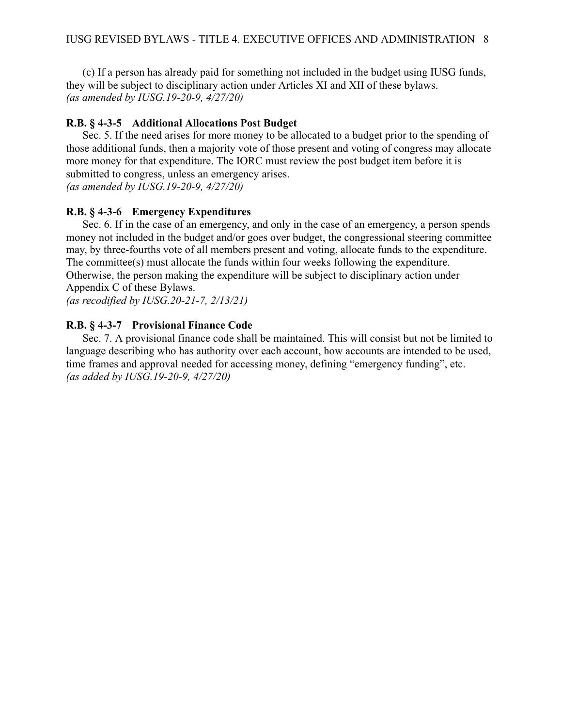(c) If a person has already paid for something not included in the budget using IUSG funds, they will be subject to disciplinary action under Articles XI and XII of these bylaws. *(as amended by IUSG.19-20-9, 4/27/20)* 

### <span id="page-34-0"></span>**R.B. § 4-3-5 Additional Allocations Post Budget**

Sec. 5. If the need arises for more money to be allocated to a budget prior to the spending of those additional funds, then a majority vote of those present and voting of congress may allocate more money for that expenditure. The IORC must review the post budget item before it is submitted to congress, unless an emergency arises. *(as amended by IUSG.19-20-9, 4/27/20)* 

### <span id="page-34-1"></span>**R.B. § 4-3-6 Emergency Expenditures**

Sec. 6. If in the case of an emergency, and only in the case of an emergency, a person spends money not included in the budget and/or goes over budget, the congressional steering committee may, by three-fourths vote of all members present and voting, allocate funds to the expenditure. The committee(s) must allocate the funds within four weeks following the expenditure. Otherwise, the person making the expenditure will be subject to disciplinary action under Appendix C of these Bylaws.

*(as recodified by IUSG.20-21-7, 2/13/21)* 

### <span id="page-34-2"></span>**R.B. § 4-3-7 Provisional Finance Code**

Sec. 7. A provisional finance code shall be maintained. This will consist but not be limited to language describing who has authority over each account, how accounts are intended to be used, time frames and approval needed for accessing money, defining "emergency funding", etc. *(as added by IUSG.19-20-9, 4/27/20)*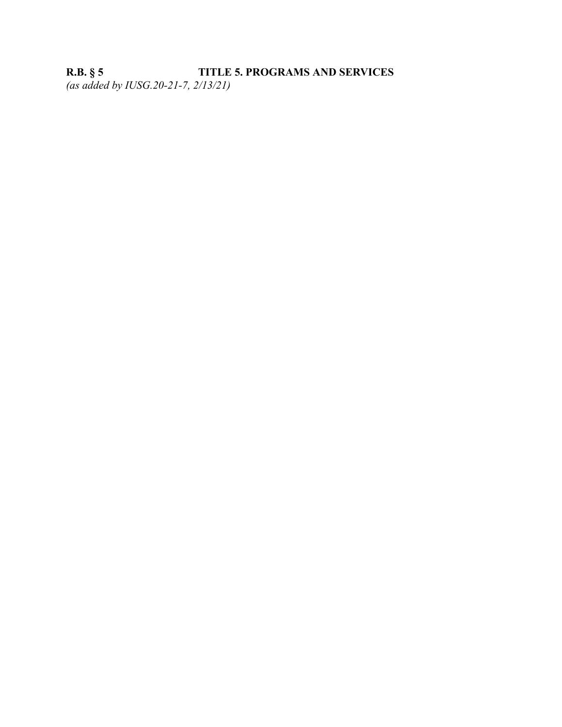## <span id="page-35-0"></span>**R.B. § 5 TITLE 5. PROGRAMS AND SERVICES**  *(as added by IUSG.20-21-7, 2/13/21)*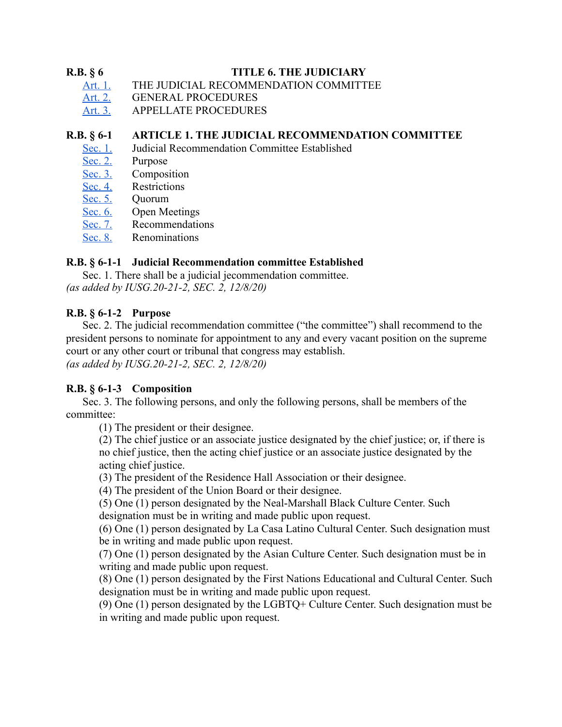### <span id="page-36-0"></span>**R.B. § 6 TITLE 6. THE JUDICIARY**

- [Art. 1. THE JUDICIAL RECOMMENDATION COMMITTEE](#page-36-1)
- [Art. 2. GENERAL PROCEDURES](#page-37-0)
- [Art. 3.](#page-38-0) APPELLATE PROCEDURES

### <span id="page-36-1"></span>**R.B. § 6-1 ARTICLE 1. THE JUDICIAL RECOMMENDATION COMMITTEE**

- [Sec. 1.](#page-36-2) [Judicial Recommendation Committee Established](#page-36-2)
- [Sec. 2.](#page-36-3) Purpose
- [Sec. 3.](#page-36-4) Composition<br>Sec. 4. Restrictions
- [Sec. 4.](#page-37-1) [Restrictions](#page-37-1)<br>Sec. 5. Quorum
- Ouorum
- [Sec. 6.](#page-37-3) [Open Meetings](#page-37-3)
- [Sec. 7.](#page-37-4) [Recommendations](#page-37-4)
- [Sec. 8.](#page-37-5) [Renominations](#page-37-5)

### <span id="page-36-2"></span>**R.B. § 6-1-1 Judicial Recommendation committee Established**

Sec. 1. There shall be a judicial jecommendation committee. *(as added by IUSG.20-21-2, SEC. 2, 12/8/20)* 

### <span id="page-36-3"></span>**R.B. § 6-1-2 Purpose**

Sec. 2. The judicial recommendation committee ("the committee") shall recommend to the president persons to nominate for appointment to any and every vacant position on the supreme court or any other court or tribunal that congress may establish. *(as added by IUSG.20-21-2, SEC. 2, 12/8/20)* 

### <span id="page-36-4"></span>**R.B. § 6-1-3 Composition**

Sec. 3. The following persons, and only the following persons, shall be members of the committee:

(1) The president or their designee.

(2) The chief justice or an associate justice designated by the chief justice; or, if there is no chief justice, then the acting chief justice or an associate justice designated by the acting chief justice.

(3) The president of the Residence Hall Association or their designee.

(4) The president of the Union Board or their designee.

(5) One (1) person designated by the Neal-Marshall Black Culture Center. Such designation must be in writing and made public upon request.

(6) One (1) person designated by La Casa Latino Cultural Center. Such designation must be in writing and made public upon request.

(7) One (1) person designated by the Asian Culture Center. Such designation must be in writing and made public upon request.

(8) One (1) person designated by the First Nations Educational and Cultural Center. Such designation must be in writing and made public upon request.

(9) One (1) person designated by the LGBTQ+ Culture Center. Such designation must be in writing and made public upon request.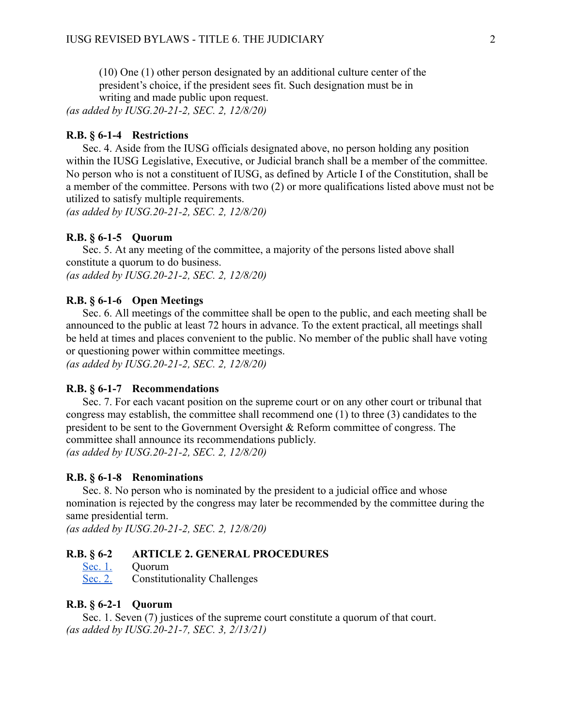(10) One (1) other person designated by an additional culture center of the president's choice, if the president sees fit. Such designation must be in writing and made public upon request.

*(as added by IUSG.20-21-2, SEC. 2, 12/8/20)* 

#### <span id="page-37-1"></span>**R.B. § 6-1-4 Restrictions**

Sec. 4. Aside from the IUSG officials designated above, no person holding any position within the IUSG Legislative, Executive, or Judicial branch shall be a member of the committee. No person who is not a constituent of IUSG, as defined by Article I of the Constitution, shall be a member of the committee. Persons with two (2) or more qualifications listed above must not be utilized to satisfy multiple requirements.

*(as added by IUSG.20-21-2, SEC. 2, 12/8/20)* 

### <span id="page-37-2"></span>**R.B. § 6-1-5 Quorum**

Sec. 5. At any meeting of the committee, a majority of the persons listed above shall constitute a quorum to do business. *(as added by IUSG.20-21-2, SEC. 2, 12/8/20)* 

#### <span id="page-37-3"></span>**R.B. § 6-1-6 Open Meetings**

Sec. 6. All meetings of the committee shall be open to the public, and each meeting shall be announced to the public at least 72 hours in advance. To the extent practical, all meetings shall be held at times and places convenient to the public. No member of the public shall have voting or questioning power within committee meetings. *(as added by IUSG.20-21-2, SEC. 2, 12/8/20)* 

#### <span id="page-37-4"></span>**R.B. § 6-1-7 Recommendations**

Sec. 7. For each vacant position on the supreme court or on any other court or tribunal that congress may establish, the committee shall recommend one (1) to three (3) candidates to the president to be sent to the Government Oversight & Reform committee of congress. The committee shall announce its recommendations publicly. *(as added by IUSG.20-21-2, SEC. 2, 12/8/20)* 

#### <span id="page-37-5"></span>**R.B. § 6-1-8 Renominations**

Sec. 8. No person who is nominated by the president to a judicial office and whose nomination is rejected by the congress may later be recommended by the committee during the same presidential term.

*(as added by IUSG.20-21-2, SEC. 2, 12/8/20)* 

# <span id="page-37-0"></span>**R.B. § 6-2 ARTICLE 2. GENERAL PROCEDURES**<br>Sec. 1. Quorum

- Ouorum
- [Sec. 2.](#page-38-1) Constitutionality Challenges

#### <span id="page-37-6"></span>**R.B. § 6-2-1 Quorum**

Sec. 1. Seven (7) justices of the supreme court constitute a quorum of that court. *(as added by IUSG.20-21-7, SEC. 3, 2/13/21)*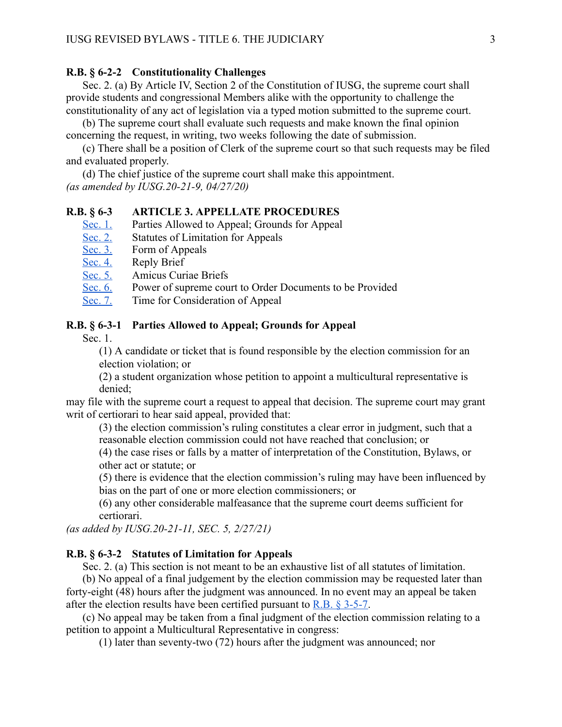#### <span id="page-38-1"></span>**R.B. § 6-2-2 Constitutionality Challenges**

Sec. 2. (a) By Article IV, Section 2 of the Constitution of IUSG, the supreme court shall provide students and congressional Members alike with the opportunity to challenge the constitutionality of any act of legislation via a typed motion submitted to the supreme court.

(b) The supreme court shall evaluate such requests and make known the final opinion concerning the request, in writing, two weeks following the date of submission.

(c) There shall be a position of Clerk of the supreme court so that such requests may be filed and evaluated properly.

(d) The chief justice of the supreme court shall make this appointment. *(as amended by IUSG.20-21-9, 04/27/20)* 

### <span id="page-38-0"></span>**R.B. § 6-3 ARTICLE 3. APPELLATE PROCEDURES**

- [Sec. 1.](#page-38-2) Parties Allowed to Appeal; Grounds for Appeal
- [Sec. 2.](#page-38-3) Statutes of Limitation for Appeals<br>Sec. 3. Form of Appeals
- Form of Appeals
- [Sec. 4.](#page-39-1) Reply Brief
- [Sec. 5.](#page-39-2) Amicus Curiae Briefs
- [Sec. 6.](#page-39-3) Power of supreme court to Order Documents to be Provided
- [Sec. 7.](#page-39-4) Time for Consideration of Appeal

#### <span id="page-38-2"></span>**R.B. § 6-3-1 Parties Allowed to Appeal; Grounds for Appeal**

Sec. 1.

(1) A candidate or ticket that is found responsible by the election commission for an election violation; or

(2) a student organization whose petition to appoint a multicultural representative is denied;

may file with the supreme court a request to appeal that decision. The supreme court may grant writ of certiorari to hear said appeal, provided that:

(3) the election commission's ruling constitutes a clear error in judgment, such that a reasonable election commission could not have reached that conclusion; or

(4) the case rises or falls by a matter of interpretation of the Constitution, Bylaws, or other act or statute; or

(5) there is evidence that the election commission's ruling may have been influenced by bias on the part of one or more election commissioners; or

(6) any other considerable malfeasance that the supreme court deems sufficient for certiorari.

*(as added by IUSG.20-21-11, SEC. 5, 2/27/21)* 

#### <span id="page-38-3"></span>**R.B. § 6-3-2 Statutes of Limitation for Appeals**

Sec. 2. (a) This section is not meant to be an exhaustive list of all statutes of limitation.

(b) No appeal of a final judgement by the election commission may be requested later than forty-eight (48) hours after the judgment was announced. In no event may an appeal be taken after the election results have been certified pursuant to  $R.B. § 3-5-7$ .

(c) No appeal may be taken from a final judgment of the election commission relating to a petition to appoint a Multicultural Representative in congress:

(1) later than seventy-two (72) hours after the judgment was announced; nor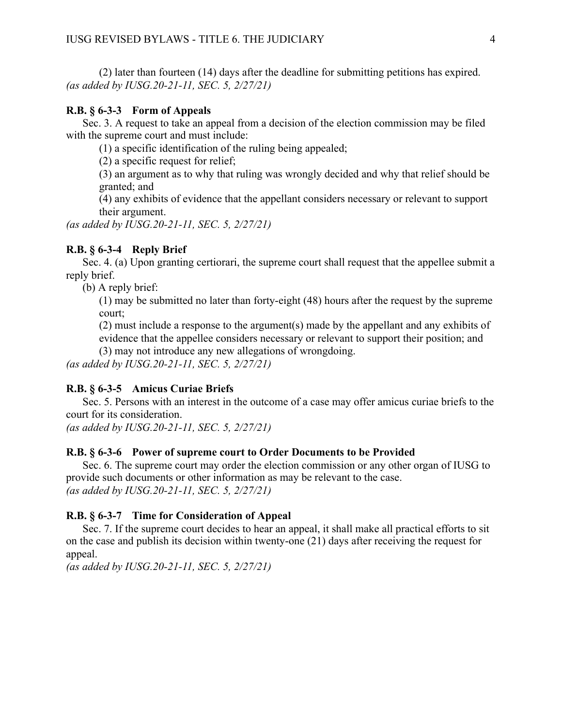(2) later than fourteen (14) days after the deadline for submitting petitions has expired. *(as added by IUSG.20-21-11, SEC. 5, 2/27/21)* 

#### <span id="page-39-0"></span>**R.B. § 6-3-3 Form of Appeals**

Sec. 3. A request to take an appeal from a decision of the election commission may be filed with the supreme court and must include:

(1) a specific identification of the ruling being appealed;

(2) a specific request for relief;

(3) an argument as to why that ruling was wrongly decided and why that relief should be granted; and

(4) any exhibits of evidence that the appellant considers necessary or relevant to support their argument.

*(as added by IUSG.20-21-11, SEC. 5, 2/27/21)* 

#### <span id="page-39-1"></span>**R.B. § 6-3-4 Reply Brief**

Sec. 4. (a) Upon granting certiorari, the supreme court shall request that the appellee submit a reply brief.

(b) A reply brief:

(1) may be submitted no later than forty-eight (48) hours after the request by the supreme court;

(2) must include a response to the argument(s) made by the appellant and any exhibits of evidence that the appellee considers necessary or relevant to support their position; and

(3) may not introduce any new allegations of wrongdoing. *(as added by IUSG.20-21-11, SEC. 5, 2/27/21)* 

#### <span id="page-39-2"></span>**R.B. § 6-3-5 Amicus Curiae Briefs**

Sec. 5. Persons with an interest in the outcome of a case may offer amicus curiae briefs to the court for its consideration.

*(as added by IUSG.20-21-11, SEC. 5, 2/27/21)* 

#### <span id="page-39-3"></span>**R.B. § 6-3-6 Power of supreme court to Order Documents to be Provided**

Sec. 6. The supreme court may order the election commission or any other organ of IUSG to provide such documents or other information as may be relevant to the case. *(as added by IUSG.20-21-11, SEC. 5, 2/27/21)* 

#### <span id="page-39-4"></span>**R.B. § 6-3-7 Time for Consideration of Appeal**

Sec. 7. If the supreme court decides to hear an appeal, it shall make all practical efforts to sit on the case and publish its decision within twenty-one (21) days after receiving the request for appeal.

*(as added by IUSG.20-21-11, SEC. 5, 2/27/21)*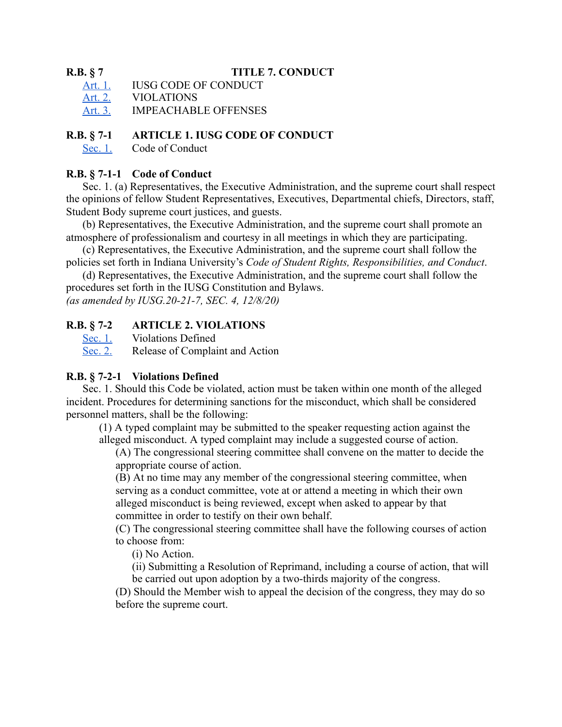### <span id="page-40-0"></span>**R.B. § 7 TITLE 7. CONDUCT**

- Art. 1. **IUSG CODE OF CONDUCT**
- [Art. 2. VIOLATIONS](#page-40-2)
- [Art. 3. IMPEACHABLE OFFENSES](#page-41-0)

### <span id="page-40-1"></span>**R.B. § 7-1 ARTICLE 1. IUSG CODE OF CONDUCT**

[Sec. 1.](#page-40-3) [Code of Conduct](#page-40-3) 

### <span id="page-40-3"></span>**R.B. § 7-1-1 Code of Conduct**

Sec. 1. (a) Representatives, the Executive Administration, and the supreme court shall respect the opinions of fellow Student Representatives, Executives, Departmental chiefs, Directors, staff, Student Body supreme court justices, and guests.

(b) Representatives, the Executive Administration, and the supreme court shall promote an atmosphere of professionalism and courtesy in all meetings in which they are participating.

(c) Representatives, the Executive Administration, and the supreme court shall follow the policies set forth in Indiana University's *Code of Student Rights, Responsibilities, and Conduct* .

(d) Representatives, the Executive Administration, and the supreme court shall follow the procedures set forth in the IUSG Constitution and Bylaws.

*(as amended by IUSG.20-21-7, SEC. 4, 12/8/20)* 

### <span id="page-40-2"></span>**R.B. § 7-2 ARTICLE 2. VIOLATIONS**

[Sec. 1.](#page-40-4) [Violations Defined](#page-40-4) 

[Sec. 2.](#page-41-1) Release of Complaint and Action

### <span id="page-40-4"></span>**R.B. § 7-2-1 Violations Defined**

Sec. 1. Should this Code be violated, action must be taken within one month of the alleged incident. Procedures for determining sanctions for the misconduct, which shall be considered personnel matters, shall be the following:

(1) A typed complaint may be submitted to the speaker requesting action against the alleged misconduct. A typed complaint may include a suggested course of action.

(A) The congressional steering committee shall convene on the matter to decide the appropriate course of action.

(B) At no time may any member of the congressional steering committee, when serving as a conduct committee, vote at or attend a meeting in which their own alleged misconduct is being reviewed, except when asked to appear by that committee in order to testify on their own behalf.

(C) The congressional steering committee shall have the following courses of action to choose from:

(i) No Action.

(ii) Submitting a Resolution of Reprimand, including a course of action, that will be carried out upon adoption by a two-thirds majority of the congress.

(D) Should the Member wish to appeal the decision of the congress, they may do so before the supreme court.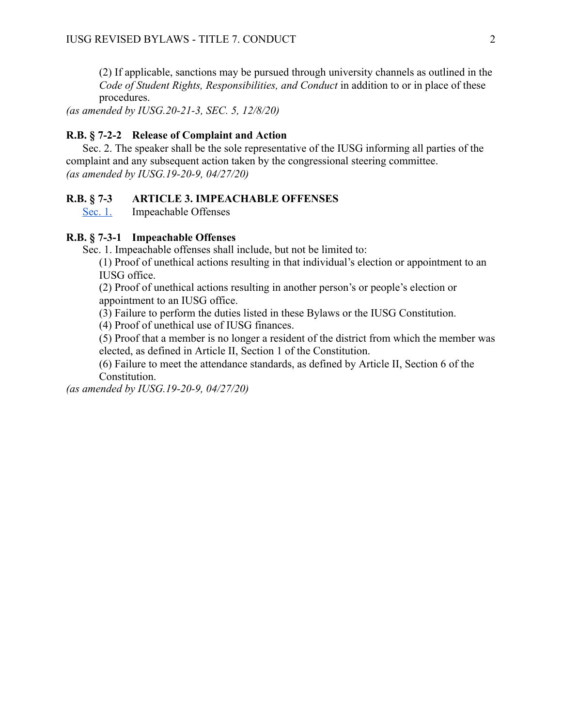(2) If applicable, sanctions may be pursued through university channels as outlined in the *Code of Student Rights, Responsibilities, and Conduct* in addition to or in place of these procedures.

*(as amended by IUSG.20-21-3, SEC. 5, 12/8/20)* 

#### <span id="page-41-1"></span>**R.B. § 7-2-2 Release of Complaint and Action**

Sec. 2. The speaker shall be the sole representative of the IUSG informing all parties of the complaint and any subsequent action taken by the congressional steering committee. *(as amended by IUSG.19-20-9, 04/27/20)* 

### <span id="page-41-0"></span>**R.B. § 7-3 ARTICLE 3. IMPEACHABLE OFFENSES**

[Sec. 1.](#page-41-2) [Impeachable Offenses](#page-41-2)

### <span id="page-41-2"></span>**R.B. § 7-3-1 Impeachable Offenses**

Sec. 1. Impeachable offenses shall include, but not be limited to:

(1) Proof of unethical actions resulting in that individual's election or appointment to an IUSG office.

(2) Proof of unethical actions resulting in another person's or people's election or appointment to an IUSG office.

(3) Failure to perform the duties listed in these Bylaws or the IUSG Constitution.

(4) Proof of unethical use of IUSG finances.

(5) Proof that a member is no longer a resident of the district from which the member was elected, as defined in Article II, Section 1 of the Constitution.

(6) Failure to meet the attendance standards, as defined by Article II, Section 6 of the Constitution.

*(as amended by IUSG.19-20-9, 04/27/20)*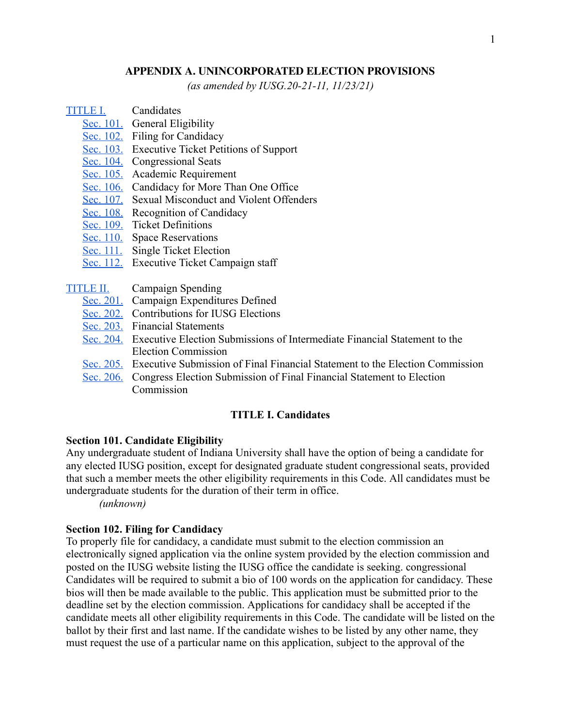### **APPENDIX A. UNINCORPORATED ELECTION PROVISIONS**

*(as amended by IUSG.20-21-11, 11/23/21)* 

### <span id="page-42-0"></span>[TITLE I.](#page-42-1) Candidates

- [Sec. 101.](#page-42-3) General Eligibility
- [Sec. 102.](#page-42-2) Filing for Candidacy
- [Sec. 103.](#page-43-0) Executive Ticket Petitions of Support
- [Sec. 104.](#page-43-1) Congressional Seats
- [Sec. 105.](#page-43-2) Academic Requirement
- [Sec. 106.](#page-43-3) Candidacy for More Than One Office
- [Sec. 107.](#page-43-4) Sexual Misconduct and Violent Offenders
- [Sec. 108.](#page-43-5) Recognition of Candidacy
- [Sec. 109.](#page-44-1) Ticket Definitions
- [Sec. 110.](#page-44-2) Space Reservations
- [Sec. 111.](#page-44-3) Single Ticket Election
- [Sec. 112.](#page-44-4) Executive Ticket Campaign staff
- [TITLE II.](#page-44-0) Campaign Spending
	- [Sec. 201.](#page-44-5) Campaign Expenditures Defined
	- [Sec. 202.](#page-45-0) Contributions for IUSG Elections
	- [Sec. 203.](#page-45-1) Financial Statements
	- [Sec. 204.](#page-45-2) Executive Election Submissions of Intermediate Financial Statement to the Election Commission
	- [Sec. 205.](#page-46-0) Executive Submission of Final Financial Statement to the Election Commission
	- [Sec. 206.](#page-46-1) Congress Election Submission of Final Financial Statement to Election Commission

#### **TITLE I. Candidates**

#### <span id="page-42-3"></span><span id="page-42-1"></span>**Section 101. Candidate Eligibility**

Any undergraduate student of Indiana University shall have the option of being a candidate for any elected IUSG position, except for designated graduate student congressional seats, provided that such a member meets the other eligibility requirements in this Code. All candidates must be undergraduate students for the duration of their term in office.

*(unknown)* 

#### <span id="page-42-2"></span>**Section 102. Filing for Candidacy**

To properly file for candidacy, a candidate must submit to the election commission an electronically signed application via the online system provided by the election commission and posted on the IUSG website listing the IUSG office the candidate is seeking. congressional Candidates will be required to submit a bio of 100 words on the application for candidacy. These bios will then be made available to the public. This application must be submitted prior to the deadline set by the election commission. Applications for candidacy shall be accepted if the candidate meets all other eligibility requirements in this Code. The candidate will be listed on the ballot by their first and last name. If the candidate wishes to be listed by any other name, they must request the use of a particular name on this application, subject to the approval of the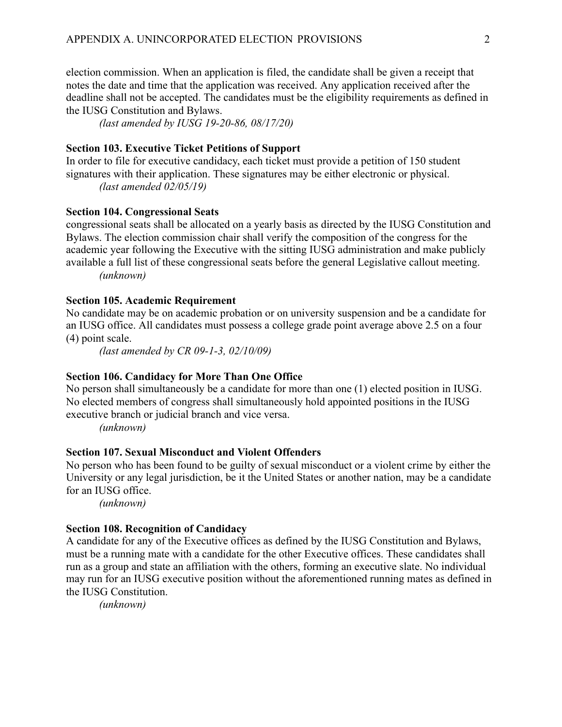election commission. When an application is filed, the candidate shall be given a receipt that notes the date and time that the application was received. Any application received after the deadline shall not be accepted. The candidates must be the eligibility requirements as defined in the IUSG Constitution and Bylaws.

*(last amended by IUSG 19-20-86, 08/17/20)* 

### <span id="page-43-0"></span>**Section 103. Executive Ticket Petitions of Support**

In order to file for executive candidacy, each ticket must provide a petition of 150 student signatures with their application. These signatures may be either electronic or physical. *(last amended 02/05/19)* 

### <span id="page-43-1"></span>**Section 104. Congressional Seats**

congressional seats shall be allocated on a yearly basis as directed by the IUSG Constitution and Bylaws. The election commission chair shall verify the composition of the congress for the academic year following the Executive with the sitting IUSG administration and make publicly available a full list of these congressional seats before the general Legislative callout meeting. *(unknown)* 

#### <span id="page-43-2"></span>**Section 105. Academic Requirement**

No candidate may be on academic probation or on university suspension and be a candidate for an IUSG office. All candidates must possess a college grade point average above 2.5 on a four (4) point scale.

*(last amended by CR 09-1-3, 02/10/09)* 

#### <span id="page-43-3"></span>**Section 106. Candidacy for More Than One Office**

No person shall simultaneously be a candidate for more than one (1) elected position in IUSG. No elected members of congress shall simultaneously hold appointed positions in the IUSG executive branch or judicial branch and vice versa.

*(unknown)* 

### <span id="page-43-4"></span>**Section 107. Sexual Misconduct and Violent Offenders**

No person who has been found to be guilty of sexual misconduct or a violent crime by either the University or any legal jurisdiction, be it the United States or another nation, may be a candidate for an IUSG office.

*(unknown)* 

### <span id="page-43-5"></span>**Section 108. Recognition of Candidacy**

A candidate for any of the Executive offices as defined by the IUSG Constitution and Bylaws, must be a running mate with a candidate for the other Executive offices. These candidates shall run as a group and state an affiliation with the others, forming an executive slate. No individual may run for an IUSG executive position without the aforementioned running mates as defined in the IUSG Constitution.

*(unknown)*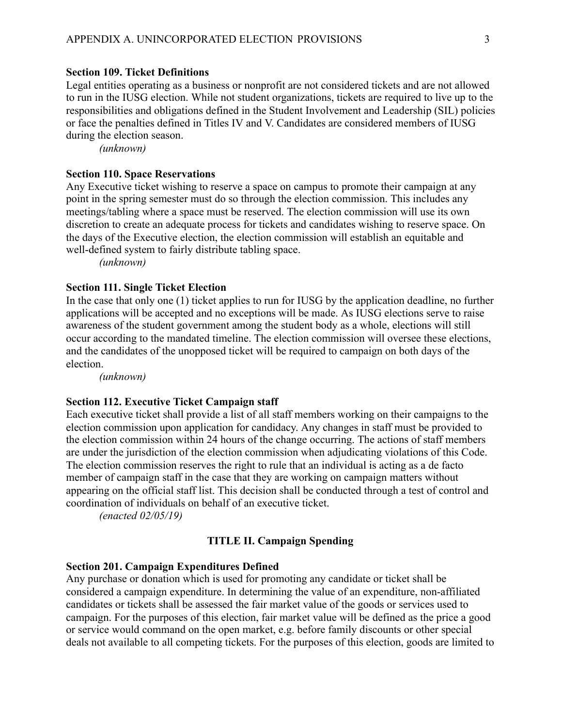### <span id="page-44-1"></span>**Section 109. Ticket Definitions**

Legal entities operating as a business or nonprofit are not considered tickets and are not allowed to run in the IUSG election. While not student organizations, tickets are required to live up to the responsibilities and obligations defined in the Student Involvement and Leadership (SIL) policies or face the penalties defined in Titles IV and V. Candidates are considered members of IUSG during the election season.

*(unknown)* 

#### <span id="page-44-2"></span>**Section 110. Space Reservations**

Any Executive ticket wishing to reserve a space on campus to promote their campaign at any point in the spring semester must do so through the election commission. This includes any meetings/tabling where a space must be reserved. The election commission will use its own discretion to create an adequate process for tickets and candidates wishing to reserve space. On the days of the Executive election, the election commission will establish an equitable and well-defined system to fairly distribute tabling space.

*(unknown)* 

### <span id="page-44-3"></span>**Section 111. Single Ticket Election**

In the case that only one (1) ticket applies to run for IUSG by the application deadline, no further applications will be accepted and no exceptions will be made. As IUSG elections serve to raise awareness of the student government among the student body as a whole, elections will still occur according to the mandated timeline. The election commission will oversee these elections, and the candidates of the unopposed ticket will be required to campaign on both days of the election.

*(unknown)* 

#### <span id="page-44-4"></span>**Section 112. Executive Ticket Campaign staff**

Each executive ticket shall provide a list of all staff members working on their campaigns to the election commission upon application for candidacy. Any changes in staff must be provided to the election commission within 24 hours of the change occurring. The actions of staff members are under the jurisdiction of the election commission when adjudicating violations of this Code. The election commission reserves the right to rule that an individual is acting as a de facto member of campaign staff in the case that they are working on campaign matters without appearing on the official staff list. This decision shall be conducted through a test of control and coordination of individuals on behalf of an executive ticket.

*(enacted 02/05/19)* 

#### **TITLE II. Campaign Spending**

#### <span id="page-44-5"></span><span id="page-44-0"></span>**Section 201. Campaign Expenditures Defined**

Any purchase or donation which is used for promoting any candidate or ticket shall be considered a campaign expenditure. In determining the value of an expenditure, non-affiliated candidates or tickets shall be assessed the fair market value of the goods or services used to campaign. For the purposes of this election, fair market value will be defined as the price a good or service would command on the open market, e.g. before family discounts or other special deals not available to all competing tickets. For the purposes of this election, goods are limited to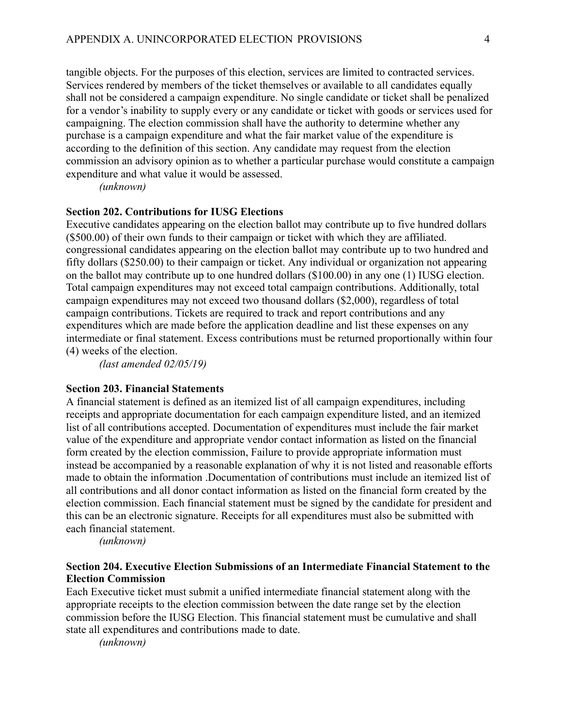tangible objects. For the purposes of this election, services are limited to contracted services. Services rendered by members of the ticket themselves or available to all candidates equally shall not be considered a campaign expenditure. No single candidate or ticket shall be penalized for a vendor's inability to supply every or any candidate or ticket with goods or services used for campaigning. The election commission shall have the authority to determine whether any purchase is a campaign expenditure and what the fair market value of the expenditure is according to the definition of this section. Any candidate may request from the election commission an advisory opinion as to whether a particular purchase would constitute a campaign expenditure and what value it would be assessed.

*(unknown)* 

### <span id="page-45-0"></span>**Section 202. Contributions for IUSG Elections**

Executive candidates appearing on the election ballot may contribute up to five hundred dollars (\$500.00) of their own funds to their campaign or ticket with which they are affiliated. congressional candidates appearing on the election ballot may contribute up to two hundred and fifty dollars (\$250.00) to their campaign or ticket. Any individual or organization not appearing on the ballot may contribute up to one hundred dollars (\$100.00) in any one (1) IUSG election. Total campaign expenditures may not exceed total campaign contributions. Additionally, total campaign expenditures may not exceed two thousand dollars (\$2,000), regardless of total campaign contributions. Tickets are required to track and report contributions and any expenditures which are made before the application deadline and list these expenses on any intermediate or final statement. Excess contributions must be returned proportionally within four (4) weeks of the election.

*(last amended 02/05/19)* 

#### <span id="page-45-1"></span>**Section 203. Financial Statements**

A financial statement is defined as an itemized list of all campaign expenditures, including receipts and appropriate documentation for each campaign expenditure listed, and an itemized list of all contributions accepted. Documentation of expenditures must include the fair market value of the expenditure and appropriate vendor contact information as listed on the financial form created by the election commission, Failure to provide appropriate information must instead be accompanied by a reasonable explanation of why it is not listed and reasonable efforts made to obtain the information .Documentation of contributions must include an itemized list of all contributions and all donor contact information as listed on the financial form created by the election commission. Each financial statement must be signed by the candidate for president and this can be an electronic signature. Receipts for all expenditures must also be submitted with each financial statement.

*(unknown)* 

### <span id="page-45-2"></span>**Section 204. Executive Election Submissions of an Intermediate Financial Statement to the Election Commission**

Each Executive ticket must submit a unified intermediate financial statement along with the appropriate receipts to the election commission between the date range set by the election commission before the IUSG Election. This financial statement must be cumulative and shall state all expenditures and contributions made to date.

*(unknown)*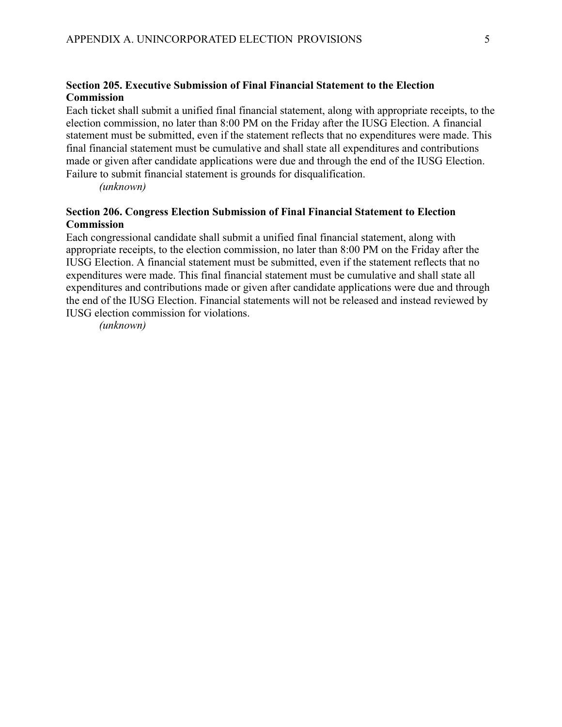### <span id="page-46-0"></span>**Section 205. Executive Submission of Final Financial Statement to the Election Commission**

Each ticket shall submit a unified final financial statement, along with appropriate receipts, to the election commission, no later than 8:00 PM on the Friday after the IUSG Election. A financial statement must be submitted, even if the statement reflects that no expenditures were made. This final financial statement must be cumulative and shall state all expenditures and contributions made or given after candidate applications were due and through the end of the IUSG Election. Failure to submit financial statement is grounds for disqualification.

*(unknown)* 

### <span id="page-46-1"></span>**Section 206. Congress Election Submission of Final Financial Statement to Election Commission**

Each congressional candidate shall submit a unified final financial statement, along with appropriate receipts, to the election commission, no later than 8:00 PM on the Friday after the IUSG Election. A financial statement must be submitted, even if the statement reflects that no expenditures were made. This final financial statement must be cumulative and shall state all expenditures and contributions made or given after candidate applications were due and through the end of the IUSG Election. Financial statements will not be released and instead reviewed by IUSG election commission for violations.

*(unknown)*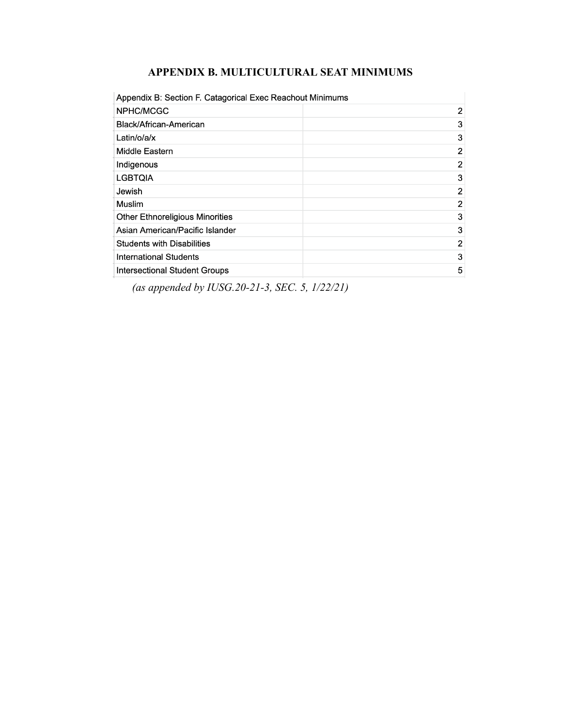### **APPENDIX B. MULTICULTURAL SEAT MINIMUMS**

<span id="page-47-0"></span>

| Appendix B: Section F. Catagorical Exec Reachout Minimums |   |  |
|-----------------------------------------------------------|---|--|
| NPHC/MCGC                                                 | 2 |  |
| Black/African-American                                    | 3 |  |
| Latin/o/a/x                                               | 3 |  |
| Middle Eastern                                            | 2 |  |
| Indigenous                                                | 2 |  |
| <b>LGBTQIA</b>                                            | 3 |  |
| Jewish                                                    | 2 |  |
| Muslim                                                    | 2 |  |
| <b>Other Ethnoreligious Minorities</b>                    | 3 |  |
| Asian American/Pacific Islander                           | 3 |  |
| <b>Students with Disabilities</b>                         | 2 |  |
| <b>International Students</b>                             | 3 |  |
| <b>Intersectional Student Groups</b>                      | 5 |  |

*(as appended by IUSG.20-21-3, SEC. 5, 1/22/21)*